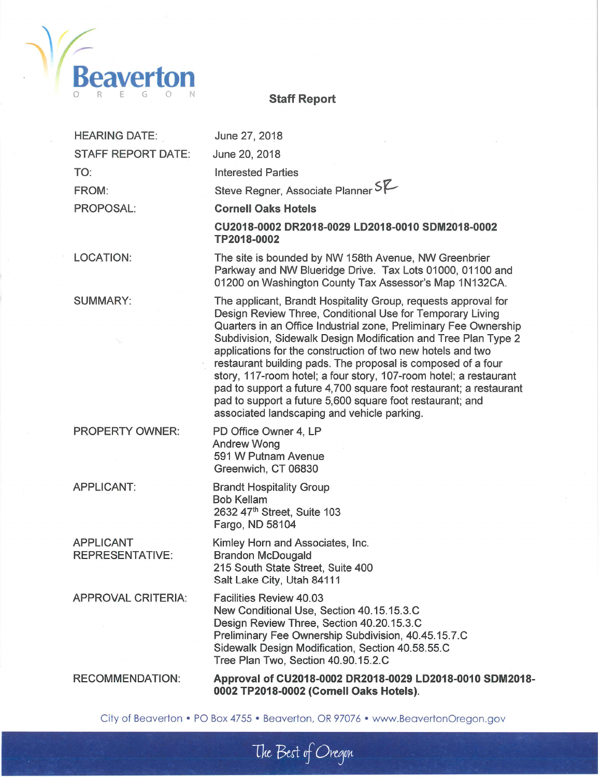

#### **Staff Report**

**HEARING DATE: STAFF REPORT DATE:** TO<sup>.</sup> FROM: PROPOSAL:

**LOCATION:** 

**SUMMARY:** 

**PROPERTY OWNER:** 

**APPLICANT:** 

**APPLICANT REPRESENTATIVE:** 

**APPROVAL CRITERIA:** 

June 27, 2018

June 20, 2018

**Interested Parties** 

Steve Regner, Associate Planner SP

**Cornell Oaks Hotels** 

CU2018-0002 DR2018-0029 LD2018-0010 SDM2018-0002 TP2018-0002

The site is bounded by NW 158th Avenue, NW Greenbrier Parkway and NW Blueridge Drive. Tax Lots 01000, 01100 and 01200 on Washington County Tax Assessor's Map 1N132CA.

The applicant, Brandt Hospitality Group, requests approval for Design Review Three, Conditional Use for Temporary Living Quarters in an Office Industrial zone. Preliminary Fee Ownership Subdivision, Sidewalk Design Modification and Tree Plan Type 2 applications for the construction of two new hotels and two restaurant building pads. The proposal is composed of a four story, 117-room hotel; a four story, 107-room hotel; a restaurant pad to support a future 4,700 square foot restaurant; a restaurant pad to support a future 5,600 square foot restaurant; and associated landscaping and vehicle parking.

PD Office Owner 4, LP **Andrew Wong** 591 W Putnam Avenue Greenwich, CT 06830

**Brandt Hospitality Group Bob Kellam** 2632 47th Street, Suite 103 Fargo, ND 58104

Kimley Horn and Associates, Inc. **Brandon McDougald** 215 South State Street, Suite 400 Salt Lake City, Utah 84111

Facilities Review 40.03 New Conditional Use, Section 40.15.15.3.C Design Review Three, Section 40.20.15.3.C Preliminary Fee Ownership Subdivision, 40.45.15.7.C Sidewalk Design Modification, Section 40.58.55.C Tree Plan Two, Section 40.90.15.2.C

**RECOMMENDATION:** 

Approval of CU2018-0002 DR2018-0029 LD2018-0010 SDM2018-0002 TP2018-0002 (Cornell Oaks Hotels).

City of Beaverton • PO Box 4755 • Beaverton, OR 97076 • www.BeavertonOregon.gov

The Best of Oregon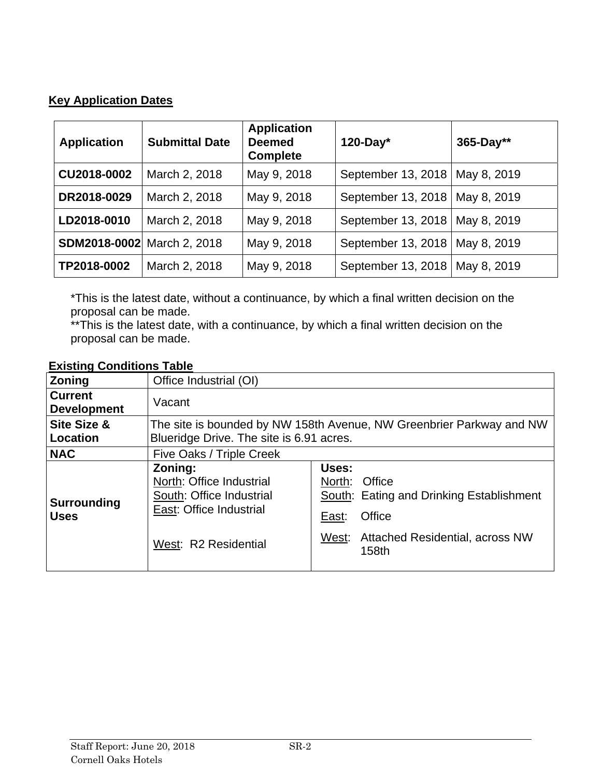# **Key Application Dates**

| <b>Application</b>                | <b>Submittal Date</b> | <b>Application</b><br><b>Deemed</b><br><b>Complete</b> | $120$ -Day*        | 365-Day**   |
|-----------------------------------|-----------------------|--------------------------------------------------------|--------------------|-------------|
| CU2018-0002                       | March 2, 2018         | May 9, 2018                                            | September 13, 2018 | May 8, 2019 |
| DR2018-0029                       | March 2, 2018         | May 9, 2018                                            | September 13, 2018 | May 8, 2019 |
| LD2018-0010                       | March 2, 2018         | May 9, 2018                                            | September 13, 2018 | May 8, 2019 |
| <b>SDM2018-0002</b> March 2, 2018 |                       | May 9, 2018                                            | September 13, 2018 | May 8, 2019 |
| TP2018-0002                       | March 2, 2018         | May 9, 2018                                            | September 13, 2018 | May 8, 2019 |

\*This is the latest date, without a continuance, by which a final written decision on the proposal can be made.

\*\*This is the latest date, with a continuance, by which a final written decision on the proposal can be made.

### **Existing Conditions Table**

| <b>Zoning</b>                        | Office Industrial (OI)                                                                                             |                                                                                                                                                   |  |  |
|--------------------------------------|--------------------------------------------------------------------------------------------------------------------|---------------------------------------------------------------------------------------------------------------------------------------------------|--|--|
| <b>Current</b><br><b>Development</b> | Vacant                                                                                                             |                                                                                                                                                   |  |  |
| <b>Site Size &amp;</b><br>Location   | The site is bounded by NW 158th Avenue, NW Greenbrier Parkway and NW<br>Blueridge Drive. The site is 6.91 acres.   |                                                                                                                                                   |  |  |
| <b>NAC</b>                           | Five Oaks / Triple Creek                                                                                           |                                                                                                                                                   |  |  |
| <b>Surrounding</b><br><b>Uses</b>    | Zoning:<br>North: Office Industrial<br>South: Office Industrial<br>East: Office Industrial<br>West: R2 Residential | Uses:<br>North: Office<br>South: Eating and Drinking Establishment<br>Office<br>East:<br><b>Attached Residential, across NW</b><br>West:<br>158th |  |  |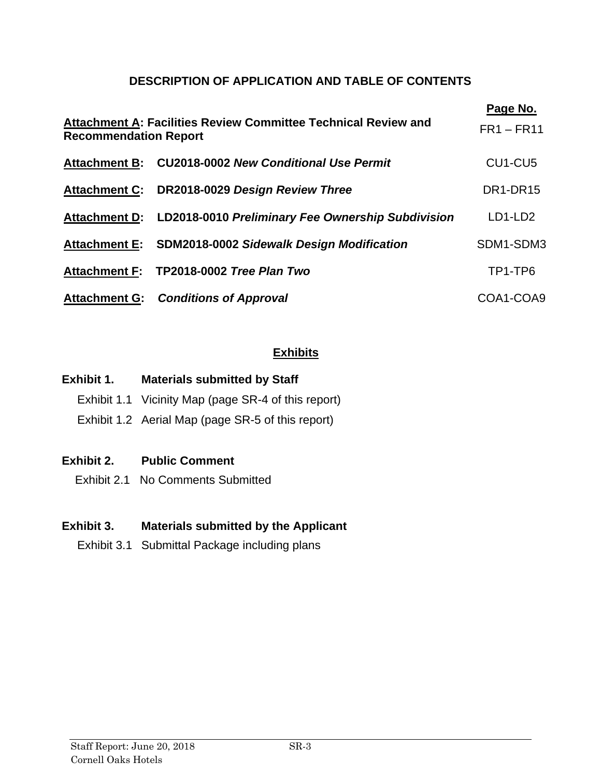### **DESCRIPTION OF APPLICATION AND TABLE OF CONTENTS**

| <b>Recommendation Report</b> | Attachment A: Facilities Review Committee Technical Review and  | Page No.<br>$FR1 - FR11$         |
|------------------------------|-----------------------------------------------------------------|----------------------------------|
| <b>Attachment B:</b>         | <b>CU2018-0002 New Conditional Use Permit</b>                   | CU <sub>1</sub> -CU <sub>5</sub> |
| <b>Attachment C:</b>         | DR2018-0029 Design Review Three                                 | DR1-DR15                         |
|                              | Attachment D: LD2018-0010 Preliminary Fee Ownership Subdivision | LD1-LD2                          |
|                              | Attachment E: SDM2018-0002 Sidewalk Design Modification         | SDM1-SDM3                        |
|                              | Attachment F: TP2018-0002 Tree Plan Two                         | TP1-TP6                          |
|                              | <b>Attachment G:</b> Conditions of Approval                     | COA1-COA9                        |

### **Exhibits**

# **Exhibit 1. Materials submitted by Staff**

- Exhibit 1.1 Vicinity Map (page SR-4 of this report)
- Exhibit 1.2 Aerial Map (page SR-5 of this report)

### **Exhibit 2. Public Comment**

Exhibit 2.1 No Comments Submitted

# **Exhibit 3. Materials submitted by the Applicant**

Exhibit 3.1 Submittal Package including plans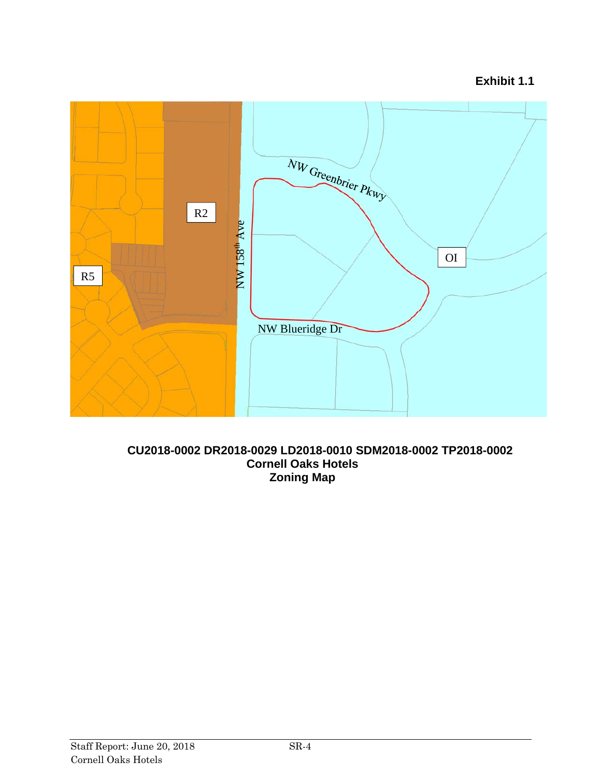### **Exhibit 1.1**



### **CU2018-0002 DR2018-0029 LD2018-0010 SDM2018-0002 TP2018-0002 Cornell Oaks Hotels Zoning Map**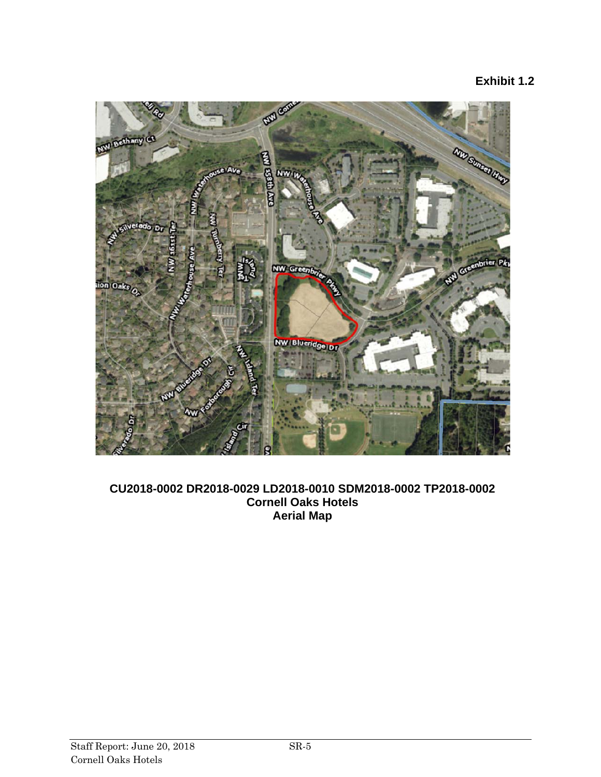## **Exhibit 1.2**



#### **CU2018-0002 DR2018-0029 LD2018-0010 SDM2018-0002 TP2018-0002 Cornell Oaks Hotels Aerial Map**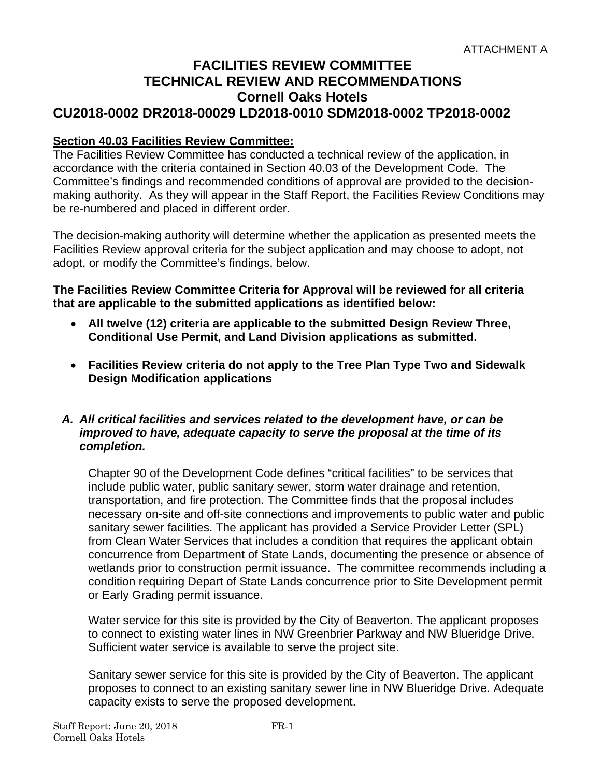# **FACILITIES REVIEW COMMITTEE TECHNICAL REVIEW AND RECOMMENDATIONS Cornell Oaks Hotels CU2018-0002 DR2018-00029 LD2018-0010 SDM2018-0002 TP2018-0002**

### **Section 40.03 Facilities Review Committee:**

The Facilities Review Committee has conducted a technical review of the application, in accordance with the criteria contained in Section 40.03 of the Development Code. The Committee's findings and recommended conditions of approval are provided to the decisionmaking authority. As they will appear in the Staff Report, the Facilities Review Conditions may be re-numbered and placed in different order.

The decision-making authority will determine whether the application as presented meets the Facilities Review approval criteria for the subject application and may choose to adopt, not adopt, or modify the Committee's findings, below.

**The Facilities Review Committee Criteria for Approval will be reviewed for all criteria that are applicable to the submitted applications as identified below:** 

- **All twelve (12) criteria are applicable to the submitted Design Review Three, Conditional Use Permit, and Land Division applications as submitted.**
- **Facilities Review criteria do not apply to the Tree Plan Type Two and Sidewalk Design Modification applications**

#### *A. All critical facilities and services related to the development have, or can be improved to have, adequate capacity to serve the proposal at the time of its completion.*

Chapter 90 of the Development Code defines "critical facilities" to be services that include public water, public sanitary sewer, storm water drainage and retention, transportation, and fire protection. The Committee finds that the proposal includes necessary on-site and off-site connections and improvements to public water and public sanitary sewer facilities. The applicant has provided a Service Provider Letter (SPL) from Clean Water Services that includes a condition that requires the applicant obtain concurrence from Department of State Lands, documenting the presence or absence of wetlands prior to construction permit issuance. The committee recommends including a condition requiring Depart of State Lands concurrence prior to Site Development permit or Early Grading permit issuance.

Water service for this site is provided by the City of Beaverton. The applicant proposes to connect to existing water lines in NW Greenbrier Parkway and NW Blueridge Drive. Sufficient water service is available to serve the project site.

Sanitary sewer service for this site is provided by the City of Beaverton. The applicant proposes to connect to an existing sanitary sewer line in NW Blueridge Drive. Adequate capacity exists to serve the proposed development.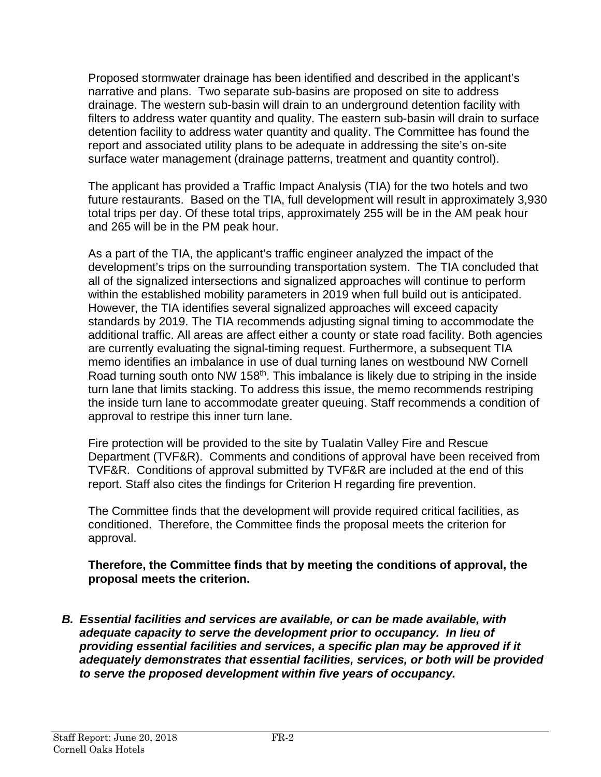Proposed stormwater drainage has been identified and described in the applicant's narrative and plans. Two separate sub-basins are proposed on site to address drainage. The western sub-basin will drain to an underground detention facility with filters to address water quantity and quality. The eastern sub-basin will drain to surface detention facility to address water quantity and quality. The Committee has found the report and associated utility plans to be adequate in addressing the site's on-site surface water management (drainage patterns, treatment and quantity control).

The applicant has provided a Traffic Impact Analysis (TIA) for the two hotels and two future restaurants. Based on the TIA, full development will result in approximately 3,930 total trips per day. Of these total trips, approximately 255 will be in the AM peak hour and 265 will be in the PM peak hour.

As a part of the TIA, the applicant's traffic engineer analyzed the impact of the development's trips on the surrounding transportation system. The TIA concluded that all of the signalized intersections and signalized approaches will continue to perform within the established mobility parameters in 2019 when full build out is anticipated. However, the TIA identifies several signalized approaches will exceed capacity standards by 2019. The TIA recommends adjusting signal timing to accommodate the additional traffic. All areas are affect either a county or state road facility. Both agencies are currently evaluating the signal-timing request. Furthermore, a subsequent TIA memo identifies an imbalance in use of dual turning lanes on westbound NW Cornell Road turning south onto NW 158<sup>th</sup>. This imbalance is likely due to striping in the inside turn lane that limits stacking. To address this issue, the memo recommends restriping the inside turn lane to accommodate greater queuing. Staff recommends a condition of approval to restripe this inner turn lane.

Fire protection will be provided to the site by Tualatin Valley Fire and Rescue Department (TVF&R). Comments and conditions of approval have been received from TVF&R. Conditions of approval submitted by TVF&R are included at the end of this report. Staff also cites the findings for Criterion H regarding fire prevention.

The Committee finds that the development will provide required critical facilities, as conditioned. Therefore, the Committee finds the proposal meets the criterion for approval.

**Therefore, the Committee finds that by meeting the conditions of approval, the proposal meets the criterion.** 

*B. Essential facilities and services are available, or can be made available, with adequate capacity to serve the development prior to occupancy. In lieu of providing essential facilities and services, a specific plan may be approved if it adequately demonstrates that essential facilities, services, or both will be provided to serve the proposed development within five years of occupancy.*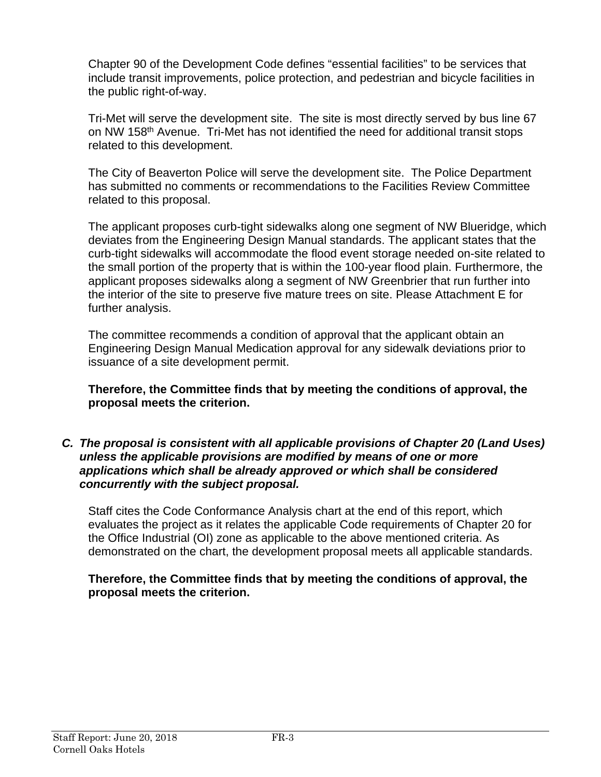Chapter 90 of the Development Code defines "essential facilities" to be services that include transit improvements, police protection, and pedestrian and bicycle facilities in the public right-of-way.

Tri-Met will serve the development site. The site is most directly served by bus line 67 on NW 158<sup>th</sup> Avenue. Tri-Met has not identified the need for additional transit stops related to this development.

The City of Beaverton Police will serve the development site. The Police Department has submitted no comments or recommendations to the Facilities Review Committee related to this proposal.

The applicant proposes curb-tight sidewalks along one segment of NW Blueridge, which deviates from the Engineering Design Manual standards. The applicant states that the curb-tight sidewalks will accommodate the flood event storage needed on-site related to the small portion of the property that is within the 100-year flood plain. Furthermore, the applicant proposes sidewalks along a segment of NW Greenbrier that run further into the interior of the site to preserve five mature trees on site. Please Attachment E for further analysis.

The committee recommends a condition of approval that the applicant obtain an Engineering Design Manual Medication approval for any sidewalk deviations prior to issuance of a site development permit.

**Therefore, the Committee finds that by meeting the conditions of approval, the proposal meets the criterion.** 

*C. The proposal is consistent with all applicable provisions of Chapter 20 (Land Uses) unless the applicable provisions are modified by means of one or more applications which shall be already approved or which shall be considered concurrently with the subject proposal.* 

Staff cites the Code Conformance Analysis chart at the end of this report, which evaluates the project as it relates the applicable Code requirements of Chapter 20 for the Office Industrial (OI) zone as applicable to the above mentioned criteria. As demonstrated on the chart, the development proposal meets all applicable standards.

#### **Therefore, the Committee finds that by meeting the conditions of approval, the proposal meets the criterion.**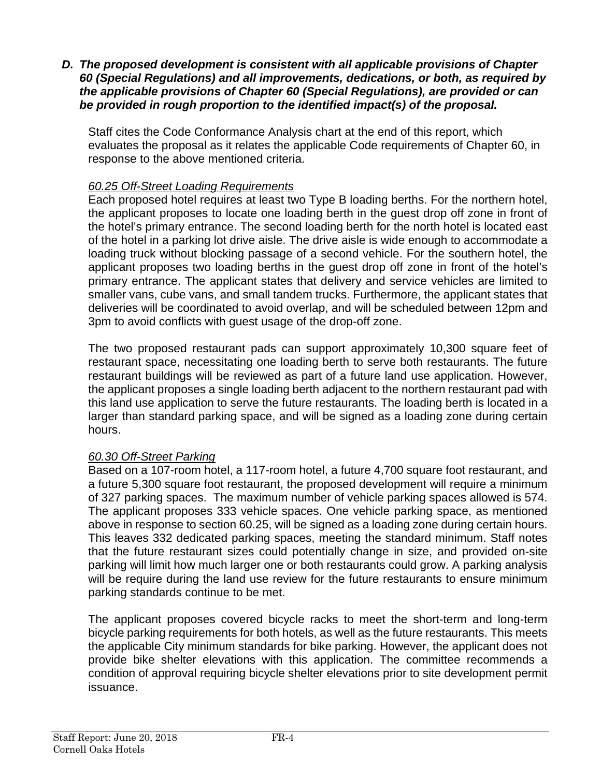*D. The proposed development is consistent with all applicable provisions of Chapter 60 (Special Regulations) and all improvements, dedications, or both, as required by the applicable provisions of Chapter 60 (Special Regulations), are provided or can be provided in rough proportion to the identified impact(s) of the proposal.* 

Staff cites the Code Conformance Analysis chart at the end of this report, which evaluates the proposal as it relates the applicable Code requirements of Chapter 60, in response to the above mentioned criteria.

### *60.25 Off-Street Loading Requirements*

Each proposed hotel requires at least two Type B loading berths. For the northern hotel, the applicant proposes to locate one loading berth in the guest drop off zone in front of the hotel's primary entrance. The second loading berth for the north hotel is located east of the hotel in a parking lot drive aisle. The drive aisle is wide enough to accommodate a loading truck without blocking passage of a second vehicle. For the southern hotel, the applicant proposes two loading berths in the guest drop off zone in front of the hotel's primary entrance. The applicant states that delivery and service vehicles are limited to smaller vans, cube vans, and small tandem trucks. Furthermore, the applicant states that deliveries will be coordinated to avoid overlap, and will be scheduled between 12pm and 3pm to avoid conflicts with guest usage of the drop-off zone.

The two proposed restaurant pads can support approximately 10,300 square feet of restaurant space, necessitating one loading berth to serve both restaurants. The future restaurant buildings will be reviewed as part of a future land use application. However, the applicant proposes a single loading berth adjacent to the northern restaurant pad with this land use application to serve the future restaurants. The loading berth is located in a larger than standard parking space, and will be signed as a loading zone during certain hours.

### *60.30 Off-Street Parking*

Based on a 107-room hotel, a 117-room hotel, a future 4,700 square foot restaurant, and a future 5,300 square foot restaurant, the proposed development will require a minimum of 327 parking spaces. The maximum number of vehicle parking spaces allowed is 574. The applicant proposes 333 vehicle spaces. One vehicle parking space, as mentioned above in response to section 60.25, will be signed as a loading zone during certain hours. This leaves 332 dedicated parking spaces, meeting the standard minimum. Staff notes that the future restaurant sizes could potentially change in size, and provided on-site parking will limit how much larger one or both restaurants could grow. A parking analysis will be require during the land use review for the future restaurants to ensure minimum parking standards continue to be met.

The applicant proposes covered bicycle racks to meet the short-term and long-term bicycle parking requirements for both hotels, as well as the future restaurants. This meets the applicable City minimum standards for bike parking. However, the applicant does not provide bike shelter elevations with this application. The committee recommends a condition of approval requiring bicycle shelter elevations prior to site development permit issuance.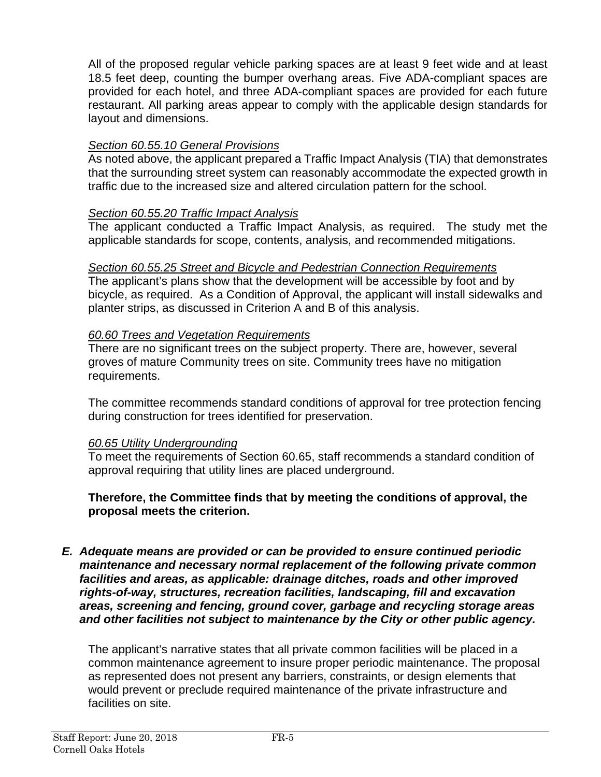All of the proposed regular vehicle parking spaces are at least 9 feet wide and at least 18.5 feet deep, counting the bumper overhang areas. Five ADA-compliant spaces are provided for each hotel, and three ADA-compliant spaces are provided for each future restaurant. All parking areas appear to comply with the applicable design standards for layout and dimensions.

### *Section 60.55.10 General Provisions*

As noted above, the applicant prepared a Traffic Impact Analysis (TIA) that demonstrates that the surrounding street system can reasonably accommodate the expected growth in traffic due to the increased size and altered circulation pattern for the school.

### *Section 60.55.20 Traffic Impact Analysis*

The applicant conducted a Traffic Impact Analysis, as required. The study met the applicable standards for scope, contents, analysis, and recommended mitigations.

### *Section 60.55.25 Street and Bicycle and Pedestrian Connection Requirements*

The applicant's plans show that the development will be accessible by foot and by bicycle, as required. As a Condition of Approval, the applicant will install sidewalks and planter strips, as discussed in Criterion A and B of this analysis.

### *60.60 Trees and Vegetation Requirements*

There are no significant trees on the subject property. There are, however, several groves of mature Community trees on site. Community trees have no mitigation requirements.

The committee recommends standard conditions of approval for tree protection fencing during construction for trees identified for preservation.

### *60.65 Utility Undergrounding*

To meet the requirements of Section 60.65, staff recommends a standard condition of approval requiring that utility lines are placed underground.

#### **Therefore, the Committee finds that by meeting the conditions of approval, the proposal meets the criterion.**

*E. Adequate means are provided or can be provided to ensure continued periodic maintenance and necessary normal replacement of the following private common facilities and areas, as applicable: drainage ditches, roads and other improved rights-of-way, structures, recreation facilities, landscaping, fill and excavation areas, screening and fencing, ground cover, garbage and recycling storage areas and other facilities not subject to maintenance by the City or other public agency.* 

The applicant's narrative states that all private common facilities will be placed in a common maintenance agreement to insure proper periodic maintenance. The proposal as represented does not present any barriers, constraints, or design elements that would prevent or preclude required maintenance of the private infrastructure and facilities on site.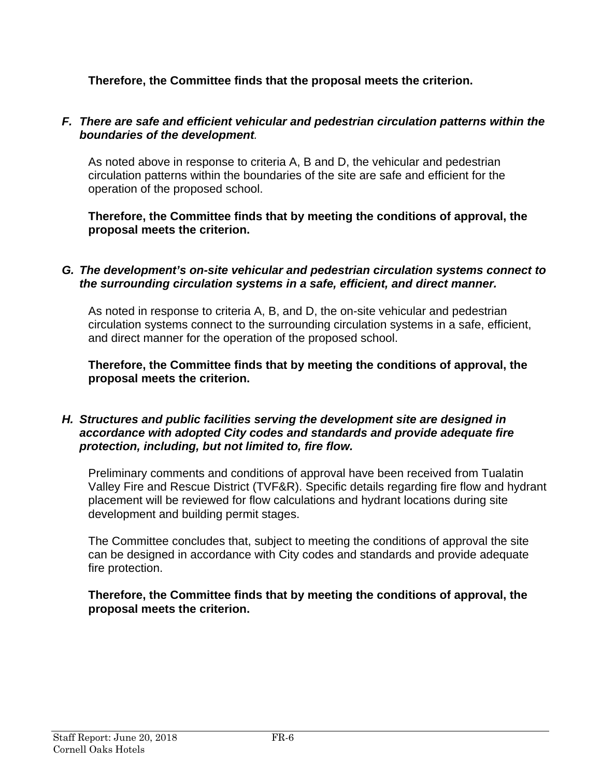## **Therefore, the Committee finds that the proposal meets the criterion.**

#### *F. There are safe and efficient vehicular and pedestrian circulation patterns within the boundaries of the development.*

As noted above in response to criteria A, B and D, the vehicular and pedestrian circulation patterns within the boundaries of the site are safe and efficient for the operation of the proposed school.

**Therefore, the Committee finds that by meeting the conditions of approval, the proposal meets the criterion.** 

#### *G. The development's on-site vehicular and pedestrian circulation systems connect to the surrounding circulation systems in a safe, efficient, and direct manner.*

As noted in response to criteria A, B, and D, the on-site vehicular and pedestrian circulation systems connect to the surrounding circulation systems in a safe, efficient, and direct manner for the operation of the proposed school.

**Therefore, the Committee finds that by meeting the conditions of approval, the proposal meets the criterion.** 

#### *H. Structures and public facilities serving the development site are designed in accordance with adopted City codes and standards and provide adequate fire protection, including, but not limited to, fire flow.*

Preliminary comments and conditions of approval have been received from Tualatin Valley Fire and Rescue District (TVF&R). Specific details regarding fire flow and hydrant placement will be reviewed for flow calculations and hydrant locations during site development and building permit stages.

The Committee concludes that, subject to meeting the conditions of approval the site can be designed in accordance with City codes and standards and provide adequate fire protection.

#### **Therefore, the Committee finds that by meeting the conditions of approval, the proposal meets the criterion.**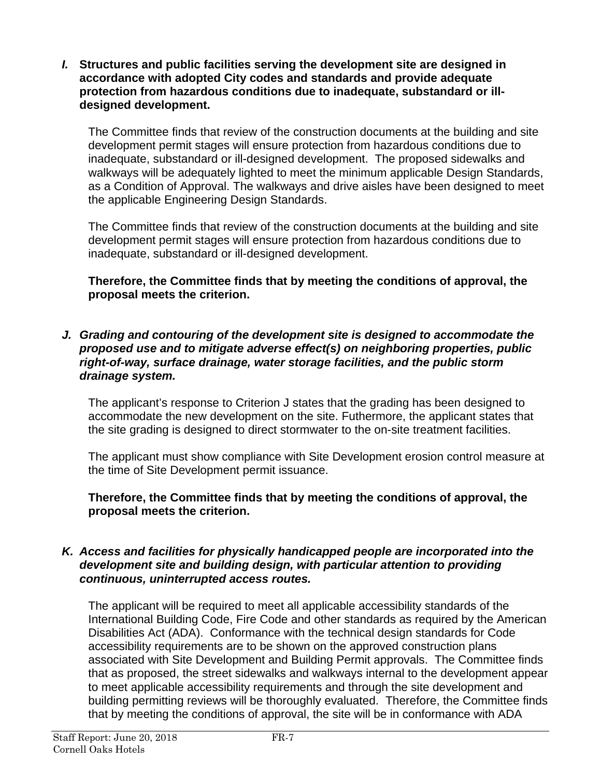*I.* **Structures and public facilities serving the development site are designed in accordance with adopted City codes and standards and provide adequate protection from hazardous conditions due to inadequate, substandard or illdesigned development.**

The Committee finds that review of the construction documents at the building and site development permit stages will ensure protection from hazardous conditions due to inadequate, substandard or ill-designed development. The proposed sidewalks and walkways will be adequately lighted to meet the minimum applicable Design Standards, as a Condition of Approval. The walkways and drive aisles have been designed to meet the applicable Engineering Design Standards.

The Committee finds that review of the construction documents at the building and site development permit stages will ensure protection from hazardous conditions due to inadequate, substandard or ill-designed development.

**Therefore, the Committee finds that by meeting the conditions of approval, the proposal meets the criterion.** 

*J. Grading and contouring of the development site is designed to accommodate the proposed use and to mitigate adverse effect(s) on neighboring properties, public right-of-way, surface drainage, water storage facilities, and the public storm drainage system.* 

The applicant's response to Criterion J states that the grading has been designed to accommodate the new development on the site. Futhermore, the applicant states that the site grading is designed to direct stormwater to the on-site treatment facilities.

The applicant must show compliance with Site Development erosion control measure at the time of Site Development permit issuance.

**Therefore, the Committee finds that by meeting the conditions of approval, the proposal meets the criterion.** 

### *K. Access and facilities for physically handicapped people are incorporated into the development site and building design, with particular attention to providing continuous, uninterrupted access routes.*

The applicant will be required to meet all applicable accessibility standards of the International Building Code, Fire Code and other standards as required by the American Disabilities Act (ADA). Conformance with the technical design standards for Code accessibility requirements are to be shown on the approved construction plans associated with Site Development and Building Permit approvals. The Committee finds that as proposed, the street sidewalks and walkways internal to the development appear to meet applicable accessibility requirements and through the site development and building permitting reviews will be thoroughly evaluated. Therefore, the Committee finds that by meeting the conditions of approval, the site will be in conformance with ADA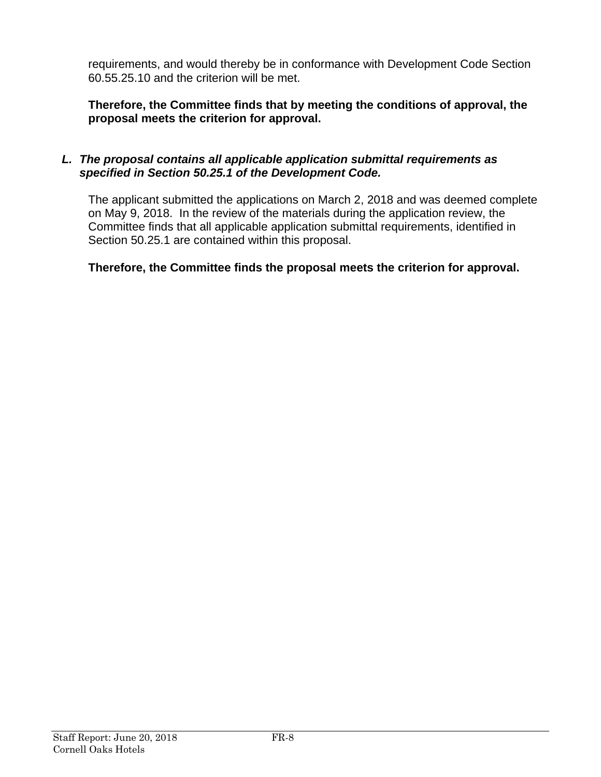requirements, and would thereby be in conformance with Development Code Section 60.55.25.10 and the criterion will be met.

**Therefore, the Committee finds that by meeting the conditions of approval, the proposal meets the criterion for approval.**

### *L. The proposal contains all applicable application submittal requirements as specified in Section 50.25.1 of the Development Code.*

The applicant submitted the applications on March 2, 2018 and was deemed complete on May 9, 2018. In the review of the materials during the application review, the Committee finds that all applicable application submittal requirements, identified in Section 50.25.1 are contained within this proposal.

# **Therefore, the Committee finds the proposal meets the criterion for approval.**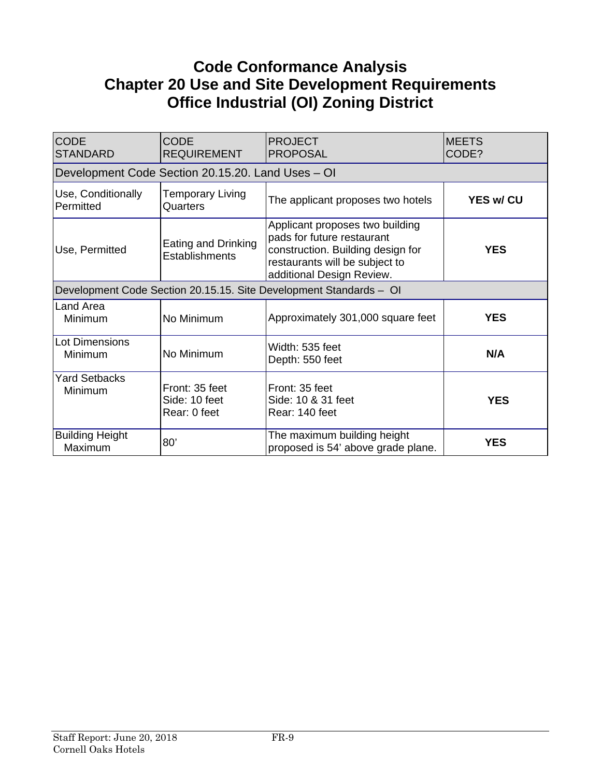# **Code Conformance Analysis Chapter 20 Use and Site Development Requirements Office Industrial (OI) Zoning District**

| <b>CODE</b><br><b>STANDARD</b>    | <b>CODE</b><br><b>REQUIREMENT</b>                 | <b>PROJECT</b><br><b>PROPOSAL</b>                                                                                                                                 | <b>MEETS</b><br>CODE? |
|-----------------------------------|---------------------------------------------------|-------------------------------------------------------------------------------------------------------------------------------------------------------------------|-----------------------|
|                                   | Development Code Section 20.15.20. Land Uses - OI |                                                                                                                                                                   |                       |
| Use, Conditionally<br>Permitted   | <b>Temporary Living</b><br>Quarters               | The applicant proposes two hotels                                                                                                                                 | <b>YES w/ CU</b>      |
| Use, Permitted                    | Eating and Drinking<br><b>Establishments</b>      | Applicant proposes two building<br>pads for future restaurant<br>construction. Building design for<br>restaurants will be subject to<br>additional Design Review. | <b>YES</b>            |
|                                   |                                                   | Development Code Section 20.15.15. Site Development Standards - OI                                                                                                |                       |
| Land Area<br>Minimum              | No Minimum                                        | Approximately 301,000 square feet                                                                                                                                 | <b>YES</b>            |
| Lot Dimensions<br>Minimum         | No Minimum                                        | Width: 535 feet<br>Depth: 550 feet                                                                                                                                | N/A                   |
| <b>Yard Setbacks</b><br>Minimum   | Front: 35 feet<br>Side: 10 feet<br>Rear: 0 feet   | Front: 35 feet<br>Side: 10 & 31 feet<br>Rear: 140 feet                                                                                                            | <b>YES</b>            |
| <b>Building Height</b><br>Maximum | 80'                                               | The maximum building height<br>proposed is 54' above grade plane.                                                                                                 | <b>YES</b>            |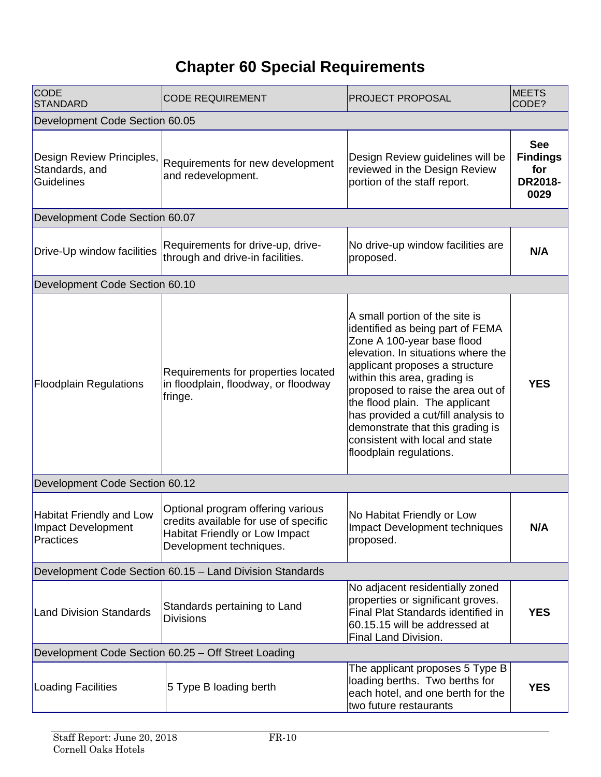# **Chapter 60 Special Requirements**

| <b>CODE</b><br><b>STANDARD</b>                                     | <b>CODE REQUIREMENT</b>                                                                                                                        | <b>PROJECT PROPOSAL</b>                                                                                                                                                                                                                                                                                                                                                                                                  | <b>MEETS</b><br>CODE?                                          |  |  |  |
|--------------------------------------------------------------------|------------------------------------------------------------------------------------------------------------------------------------------------|--------------------------------------------------------------------------------------------------------------------------------------------------------------------------------------------------------------------------------------------------------------------------------------------------------------------------------------------------------------------------------------------------------------------------|----------------------------------------------------------------|--|--|--|
| Development Code Section 60.05                                     |                                                                                                                                                |                                                                                                                                                                                                                                                                                                                                                                                                                          |                                                                |  |  |  |
| Design Review Principles,<br>Standards, and<br>Guidelines          | Requirements for new development<br>and redevelopment.                                                                                         | Design Review guidelines will be<br>reviewed in the Design Review<br>portion of the staff report.                                                                                                                                                                                                                                                                                                                        | <b>See</b><br><b>Findings</b><br>for<br><b>DR2018-</b><br>0029 |  |  |  |
| Development Code Section 60.07                                     |                                                                                                                                                |                                                                                                                                                                                                                                                                                                                                                                                                                          |                                                                |  |  |  |
| Drive-Up window facilities                                         | Requirements for drive-up, drive-<br>through and drive-in facilities.                                                                          | No drive-up window facilities are<br>proposed.                                                                                                                                                                                                                                                                                                                                                                           | N/A                                                            |  |  |  |
| Development Code Section 60.10                                     |                                                                                                                                                |                                                                                                                                                                                                                                                                                                                                                                                                                          |                                                                |  |  |  |
| <b>Floodplain Regulations</b>                                      | Requirements for properties located<br>in floodplain, floodway, or floodway<br>fringe.                                                         | A small portion of the site is<br>identified as being part of FEMA<br>Zone A 100-year base flood<br>elevation. In situations where the<br>applicant proposes a structure<br>within this area, grading is<br>proposed to raise the area out of<br>the flood plain. The applicant<br>has provided a cut/fill analysis to<br>demonstrate that this grading is<br>consistent with local and state<br>floodplain regulations. | <b>YES</b>                                                     |  |  |  |
| Development Code Section 60.12                                     |                                                                                                                                                |                                                                                                                                                                                                                                                                                                                                                                                                                          |                                                                |  |  |  |
| <b>Habitat Friendly and Low</b><br>Impact Development<br>Practices | Optional program offering various<br>credits available for use of specific<br><b>Habitat Friendly or Low Impact</b><br>Development techniques. | No Habitat Friendly or Low<br>Impact Development techniques<br>proposed.                                                                                                                                                                                                                                                                                                                                                 | N/A                                                            |  |  |  |
|                                                                    | Development Code Section 60.15 - Land Division Standards                                                                                       |                                                                                                                                                                                                                                                                                                                                                                                                                          |                                                                |  |  |  |
| <b>Land Division Standards</b>                                     | Standards pertaining to Land<br><b>Divisions</b>                                                                                               | No adjacent residentially zoned<br>properties or significant groves.<br>Final Plat Standards identified in<br>60.15.15 will be addressed at<br>Final Land Division.                                                                                                                                                                                                                                                      | <b>YES</b>                                                     |  |  |  |
| Development Code Section 60.25 - Off Street Loading                |                                                                                                                                                |                                                                                                                                                                                                                                                                                                                                                                                                                          |                                                                |  |  |  |
| Loading Facilities                                                 | 5 Type B loading berth                                                                                                                         | The applicant proposes 5 Type B<br>loading berths. Two berths for<br>each hotel, and one berth for the<br>two future restaurants                                                                                                                                                                                                                                                                                         | <b>YES</b>                                                     |  |  |  |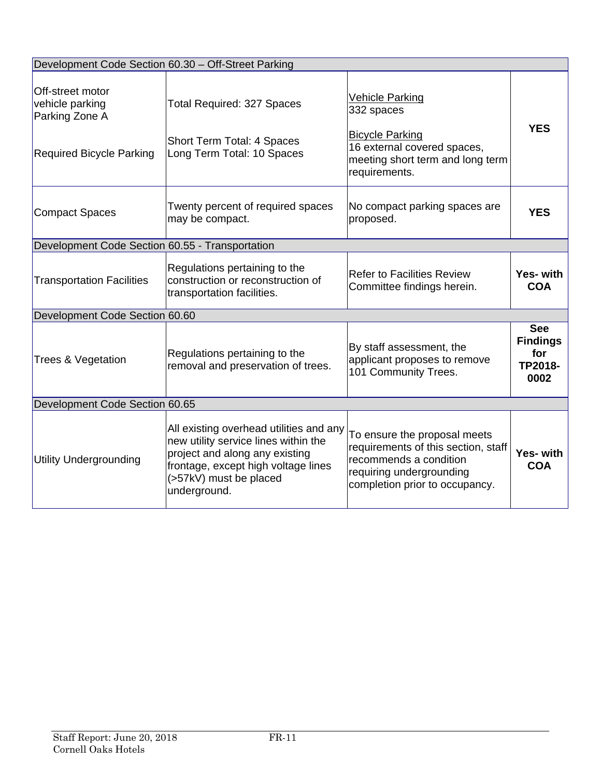| Development Code Section 60.30 - Off-Street Parking                                      |                                                                                                                                                                                                    |                                                                                                                                                             |                                                         |  |  |
|------------------------------------------------------------------------------------------|----------------------------------------------------------------------------------------------------------------------------------------------------------------------------------------------------|-------------------------------------------------------------------------------------------------------------------------------------------------------------|---------------------------------------------------------|--|--|
| Off-street motor<br>vehicle parking<br>Parking Zone A<br><b>Required Bicycle Parking</b> | <b>Total Required: 327 Spaces</b><br>Short Term Total: 4 Spaces<br>Long Term Total: 10 Spaces                                                                                                      | <u>Vehicle Parking</u><br>332 spaces<br><b>Bicycle Parking</b><br>16 external covered spaces,<br>meeting short term and long term<br>requirements.          | <b>YES</b>                                              |  |  |
| <b>Compact Spaces</b>                                                                    | Twenty percent of required spaces<br>may be compact.                                                                                                                                               | No compact parking spaces are<br>proposed.                                                                                                                  | <b>YES</b>                                              |  |  |
| Development Code Section 60.55 - Transportation                                          |                                                                                                                                                                                                    |                                                                                                                                                             |                                                         |  |  |
| <b>Transportation Facilities</b>                                                         | Regulations pertaining to the<br>construction or reconstruction of<br>transportation facilities.                                                                                                   | <b>Refer to Facilities Review</b><br>Committee findings herein.                                                                                             | Yes- with<br><b>COA</b>                                 |  |  |
| Development Code Section 60.60                                                           |                                                                                                                                                                                                    |                                                                                                                                                             |                                                         |  |  |
| Trees & Vegetation                                                                       | Regulations pertaining to the<br>removal and preservation of trees.                                                                                                                                | By staff assessment, the<br>applicant proposes to remove<br>101 Community Trees.                                                                            | <b>See</b><br><b>Findings</b><br>for<br>TP2018-<br>0002 |  |  |
| Development Code Section 60.65                                                           |                                                                                                                                                                                                    |                                                                                                                                                             |                                                         |  |  |
| <b>Utility Undergrounding</b>                                                            | All existing overhead utilities and any<br>new utility service lines within the<br>project and along any existing<br>frontage, except high voltage lines<br>(>57kV) must be placed<br>underground. | To ensure the proposal meets<br>requirements of this section, staff<br>recommends a condition<br>requiring undergrounding<br>completion prior to occupancy. | <b>Yes- with</b><br><b>COA</b>                          |  |  |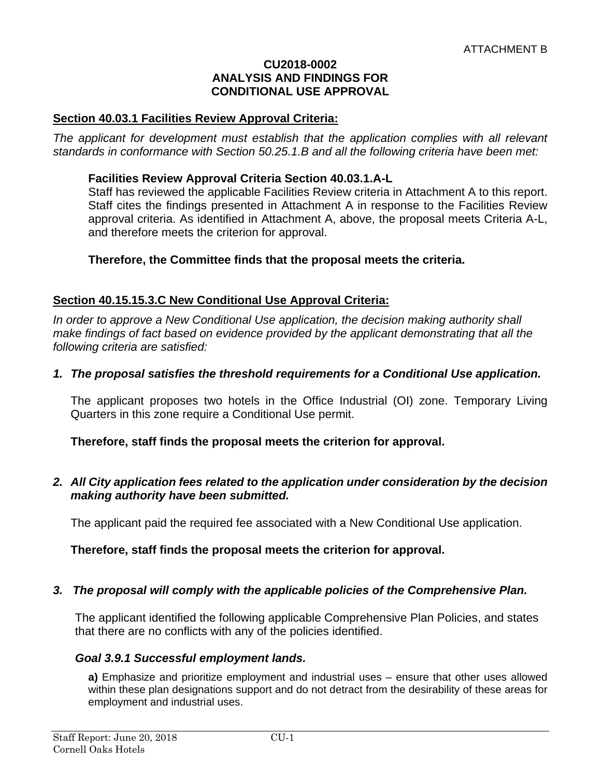#### **CU2018-0002 ANALYSIS AND FINDINGS FOR CONDITIONAL USE APPROVAL**

#### **Section 40.03.1 Facilities Review Approval Criteria:**

*The applicant for development must establish that the application complies with all relevant standards in conformance with Section 50.25.1.B and all the following criteria have been met:* 

#### **Facilities Review Approval Criteria Section 40.03.1.A-L**

Staff has reviewed the applicable Facilities Review criteria in Attachment A to this report. Staff cites the findings presented in Attachment A in response to the Facilities Review approval criteria. As identified in Attachment A, above, the proposal meets Criteria A-L, and therefore meets the criterion for approval.

#### **Therefore, the Committee finds that the proposal meets the criteria.**

#### **Section 40.15.15.3.C New Conditional Use Approval Criteria:**

*In order to approve a New Conditional Use application, the decision making authority shall make findings of fact based on evidence provided by the applicant demonstrating that all the following criteria are satisfied:* 

#### *1. The proposal satisfies the threshold requirements for a Conditional Use application.*

The applicant proposes two hotels in the Office Industrial (OI) zone. Temporary Living Quarters in this zone require a Conditional Use permit.

**Therefore, staff finds the proposal meets the criterion for approval.** 

#### *2. All City application fees related to the application under consideration by the decision making authority have been submitted.*

The applicant paid the required fee associated with a New Conditional Use application.

#### **Therefore, staff finds the proposal meets the criterion for approval.**

#### *3. The proposal will comply with the applicable policies of the Comprehensive Plan.*

The applicant identified the following applicable Comprehensive Plan Policies, and states that there are no conflicts with any of the policies identified.

#### *Goal 3.9.1 Successful employment lands.*

**a)** Emphasize and prioritize employment and industrial uses – ensure that other uses allowed within these plan designations support and do not detract from the desirability of these areas for employment and industrial uses.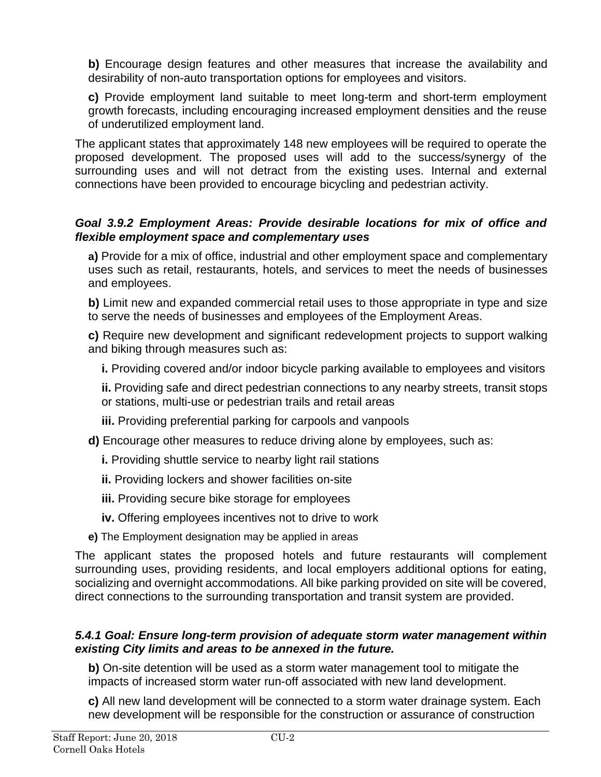**b)** Encourage design features and other measures that increase the availability and desirability of non-auto transportation options for employees and visitors.

**c)** Provide employment land suitable to meet long-term and short-term employment growth forecasts, including encouraging increased employment densities and the reuse of underutilized employment land.

The applicant states that approximately 148 new employees will be required to operate the proposed development. The proposed uses will add to the success/synergy of the surrounding uses and will not detract from the existing uses. Internal and external connections have been provided to encourage bicycling and pedestrian activity.

### *Goal 3.9.2 Employment Areas: Provide desirable locations for mix of office and flexible employment space and complementary uses*

**a)** Provide for a mix of office, industrial and other employment space and complementary uses such as retail, restaurants, hotels, and services to meet the needs of businesses and employees.

**b)** Limit new and expanded commercial retail uses to those appropriate in type and size to serve the needs of businesses and employees of the Employment Areas.

**c)** Require new development and significant redevelopment projects to support walking and biking through measures such as:

**i.** Providing covered and/or indoor bicycle parking available to employees and visitors

**ii.** Providing safe and direct pedestrian connections to any nearby streets, transit stops or stations, multi-use or pedestrian trails and retail areas

- **iii.** Providing preferential parking for carpools and vanpools
- **d)** Encourage other measures to reduce driving alone by employees, such as:
	- **i.** Providing shuttle service to nearby light rail stations
	- **ii.** Providing lockers and shower facilities on-site
	- **iii.** Providing secure bike storage for employees
	- **iv.** Offering employees incentives not to drive to work
- **e)** The Employment designation may be applied in areas

The applicant states the proposed hotels and future restaurants will complement surrounding uses, providing residents, and local employers additional options for eating, socializing and overnight accommodations. All bike parking provided on site will be covered, direct connections to the surrounding transportation and transit system are provided.

### *5.4.1 Goal: Ensure long-term provision of adequate storm water management within existing City limits and areas to be annexed in the future.*

**b)** On-site detention will be used as a storm water management tool to mitigate the impacts of increased storm water run-off associated with new land development.

**c)** All new land development will be connected to a storm water drainage system. Each new development will be responsible for the construction or assurance of construction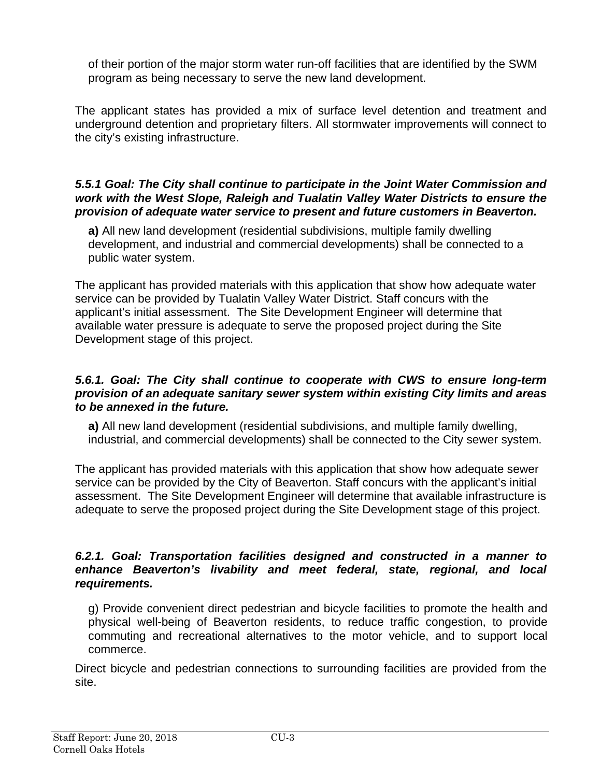of their portion of the major storm water run-off facilities that are identified by the SWM program as being necessary to serve the new land development.

The applicant states has provided a mix of surface level detention and treatment and underground detention and proprietary filters. All stormwater improvements will connect to the city's existing infrastructure.

#### *5.5.1 Goal: The City shall continue to participate in the Joint Water Commission and work with the West Slope, Raleigh and Tualatin Valley Water Districts to ensure the provision of adequate water service to present and future customers in Beaverton.*

**a)** All new land development (residential subdivisions, multiple family dwelling development, and industrial and commercial developments) shall be connected to a public water system.

The applicant has provided materials with this application that show how adequate water service can be provided by Tualatin Valley Water District. Staff concurs with the applicant's initial assessment. The Site Development Engineer will determine that available water pressure is adequate to serve the proposed project during the Site Development stage of this project.

#### *5.6.1. Goal: The City shall continue to cooperate with CWS to ensure long-term provision of an adequate sanitary sewer system within existing City limits and areas to be annexed in the future.*

**a)** All new land development (residential subdivisions, and multiple family dwelling, industrial, and commercial developments) shall be connected to the City sewer system.

The applicant has provided materials with this application that show how adequate sewer service can be provided by the City of Beaverton. Staff concurs with the applicant's initial assessment. The Site Development Engineer will determine that available infrastructure is adequate to serve the proposed project during the Site Development stage of this project.

#### *6.2.1. Goal: Transportation facilities designed and constructed in a manner to enhance Beaverton's livability and meet federal, state, regional, and local requirements.*

g) Provide convenient direct pedestrian and bicycle facilities to promote the health and physical well-being of Beaverton residents, to reduce traffic congestion, to provide commuting and recreational alternatives to the motor vehicle, and to support local commerce.

Direct bicycle and pedestrian connections to surrounding facilities are provided from the site.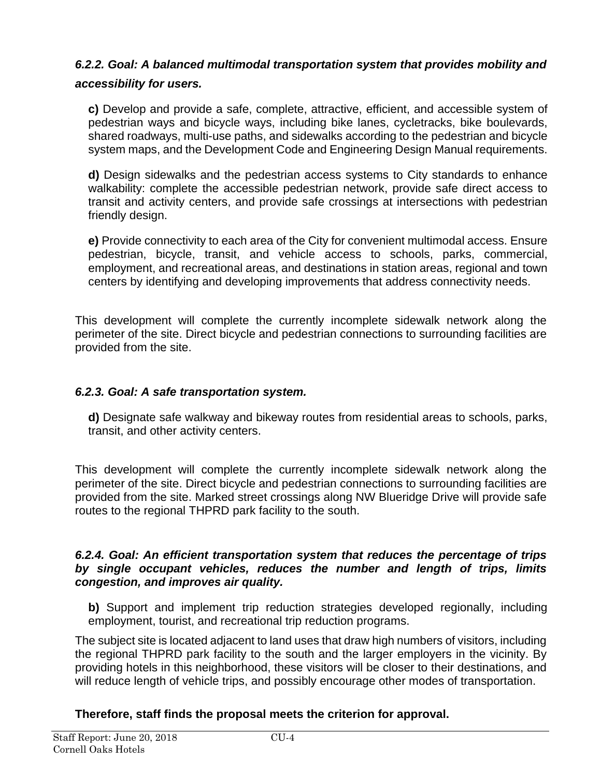# *6.2.2. Goal: A balanced multimodal transportation system that provides mobility and*

### *accessibility for users.*

**c)** Develop and provide a safe, complete, attractive, efficient, and accessible system of pedestrian ways and bicycle ways, including bike lanes, cycletracks, bike boulevards, shared roadways, multi-use paths, and sidewalks according to the pedestrian and bicycle system maps, and the Development Code and Engineering Design Manual requirements.

**d)** Design sidewalks and the pedestrian access systems to City standards to enhance walkability: complete the accessible pedestrian network, provide safe direct access to transit and activity centers, and provide safe crossings at intersections with pedestrian friendly design.

**e)** Provide connectivity to each area of the City for convenient multimodal access. Ensure pedestrian, bicycle, transit, and vehicle access to schools, parks, commercial, employment, and recreational areas, and destinations in station areas, regional and town centers by identifying and developing improvements that address connectivity needs.

This development will complete the currently incomplete sidewalk network along the perimeter of the site. Direct bicycle and pedestrian connections to surrounding facilities are provided from the site.

### *6.2.3. Goal: A safe transportation system.*

**d)** Designate safe walkway and bikeway routes from residential areas to schools, parks, transit, and other activity centers.

This development will complete the currently incomplete sidewalk network along the perimeter of the site. Direct bicycle and pedestrian connections to surrounding facilities are provided from the site. Marked street crossings along NW Blueridge Drive will provide safe routes to the regional THPRD park facility to the south.

#### *6.2.4. Goal: An efficient transportation system that reduces the percentage of trips by single occupant vehicles, reduces the number and length of trips, limits congestion, and improves air quality.*

**b)** Support and implement trip reduction strategies developed regionally, including employment, tourist, and recreational trip reduction programs.

The subject site is located adjacent to land uses that draw high numbers of visitors, including the regional THPRD park facility to the south and the larger employers in the vicinity. By providing hotels in this neighborhood, these visitors will be closer to their destinations, and will reduce length of vehicle trips, and possibly encourage other modes of transportation.

**Therefore, staff finds the proposal meets the criterion for approval.**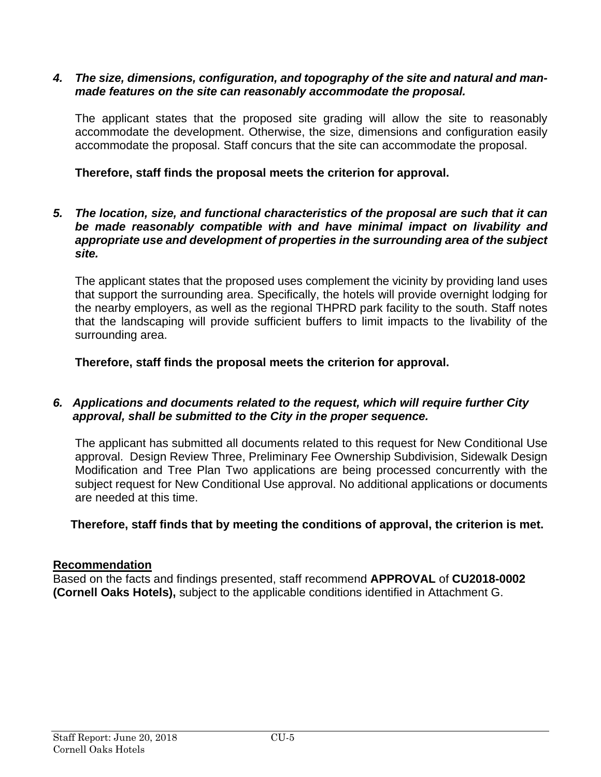#### *4. The size, dimensions, configuration, and topography of the site and natural and manmade features on the site can reasonably accommodate the proposal.*

The applicant states that the proposed site grading will allow the site to reasonably accommodate the development. Otherwise, the size, dimensions and configuration easily accommodate the proposal. Staff concurs that the site can accommodate the proposal.

**Therefore, staff finds the proposal meets the criterion for approval.**

#### *5. The location, size, and functional characteristics of the proposal are such that it can be made reasonably compatible with and have minimal impact on livability and appropriate use and development of properties in the surrounding area of the subject site.*

The applicant states that the proposed uses complement the vicinity by providing land uses that support the surrounding area. Specifically, the hotels will provide overnight lodging for the nearby employers, as well as the regional THPRD park facility to the south. Staff notes that the landscaping will provide sufficient buffers to limit impacts to the livability of the surrounding area.

**Therefore, staff finds the proposal meets the criterion for approval.**

#### *6. Applications and documents related to the request, which will require further City approval, shall be submitted to the City in the proper sequence.*

The applicant has submitted all documents related to this request for New Conditional Use approval. Design Review Three, Preliminary Fee Ownership Subdivision, Sidewalk Design Modification and Tree Plan Two applications are being processed concurrently with the subject request for New Conditional Use approval. No additional applications or documents are needed at this time.

### **Therefore, staff finds that by meeting the conditions of approval, the criterion is met.**

#### **Recommendation**

Based on the facts and findings presented, staff recommend **APPROVAL** of **CU2018-0002 (Cornell Oaks Hotels),** subject to the applicable conditions identified in Attachment G.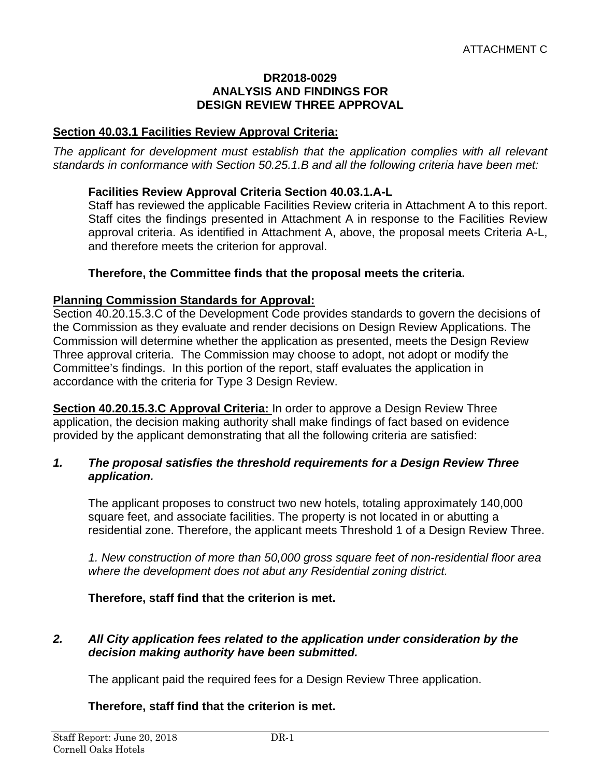#### **DR2018-0029 ANALYSIS AND FINDINGS FOR DESIGN REVIEW THREE APPROVAL**

### **Section 40.03.1 Facilities Review Approval Criteria:**

*The applicant for development must establish that the application complies with all relevant standards in conformance with Section 50.25.1.B and all the following criteria have been met:* 

#### **Facilities Review Approval Criteria Section 40.03.1.A-L**

Staff has reviewed the applicable Facilities Review criteria in Attachment A to this report. Staff cites the findings presented in Attachment A in response to the Facilities Review approval criteria. As identified in Attachment A, above, the proposal meets Criteria A-L, and therefore meets the criterion for approval.

#### **Therefore, the Committee finds that the proposal meets the criteria.**

#### **Planning Commission Standards for Approval:**

Section 40.20.15.3.C of the Development Code provides standards to govern the decisions of the Commission as they evaluate and render decisions on Design Review Applications. The Commission will determine whether the application as presented, meets the Design Review Three approval criteria. The Commission may choose to adopt, not adopt or modify the Committee's findings. In this portion of the report, staff evaluates the application in accordance with the criteria for Type 3 Design Review.

**Section 40.20.15.3.C Approval Criteria:** In order to approve a Design Review Three application, the decision making authority shall make findings of fact based on evidence provided by the applicant demonstrating that all the following criteria are satisfied:

#### *1. The proposal satisfies the threshold requirements for a Design Review Three application.*

The applicant proposes to construct two new hotels, totaling approximately 140,000 square feet, and associate facilities. The property is not located in or abutting a residential zone. Therefore, the applicant meets Threshold 1 of a Design Review Three.

*1. New construction of more than 50,000 gross square feet of non-residential floor area where the development does not abut any Residential zoning district.* 

**Therefore, staff find that the criterion is met.** 

#### *2. All City application fees related to the application under consideration by the decision making authority have been submitted.*

The applicant paid the required fees for a Design Review Three application.

#### **Therefore, staff find that the criterion is met.**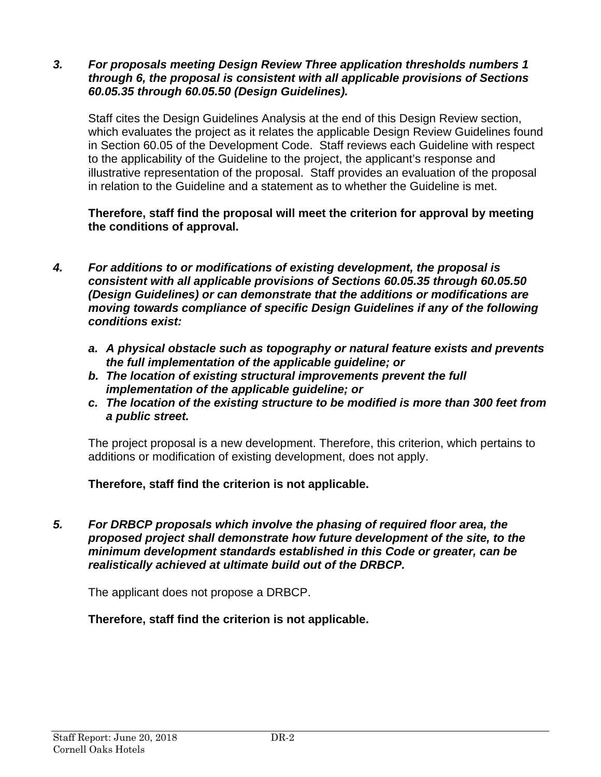#### *3. For proposals meeting Design Review Three application thresholds numbers 1 through 6, the proposal is consistent with all applicable provisions of Sections 60.05.35 through 60.05.50 (Design Guidelines).*

Staff cites the Design Guidelines Analysis at the end of this Design Review section, which evaluates the project as it relates the applicable Design Review Guidelines found in Section 60.05 of the Development Code. Staff reviews each Guideline with respect to the applicability of the Guideline to the project, the applicant's response and illustrative representation of the proposal. Staff provides an evaluation of the proposal in relation to the Guideline and a statement as to whether the Guideline is met.

**Therefore, staff find the proposal will meet the criterion for approval by meeting the conditions of approval.** 

- *4. For additions to or modifications of existing development, the proposal is consistent with all applicable provisions of Sections 60.05.35 through 60.05.50 (Design Guidelines) or can demonstrate that the additions or modifications are moving towards compliance of specific Design Guidelines if any of the following conditions exist:* 
	- *a. A physical obstacle such as topography or natural feature exists and prevents the full implementation of the applicable guideline; or*
	- *b. The location of existing structural improvements prevent the full implementation of the applicable guideline; or*
	- *c. The location of the existing structure to be modified is more than 300 feet from a public street.*

The project proposal is a new development. Therefore, this criterion, which pertains to additions or modification of existing development, does not apply.

**Therefore, staff find the criterion is not applicable.** 

*5. For DRBCP proposals which involve the phasing of required floor area, the proposed project shall demonstrate how future development of the site, to the minimum development standards established in this Code or greater, can be realistically achieved at ultimate build out of the DRBCP.* 

The applicant does not propose a DRBCP.

**Therefore, staff find the criterion is not applicable.**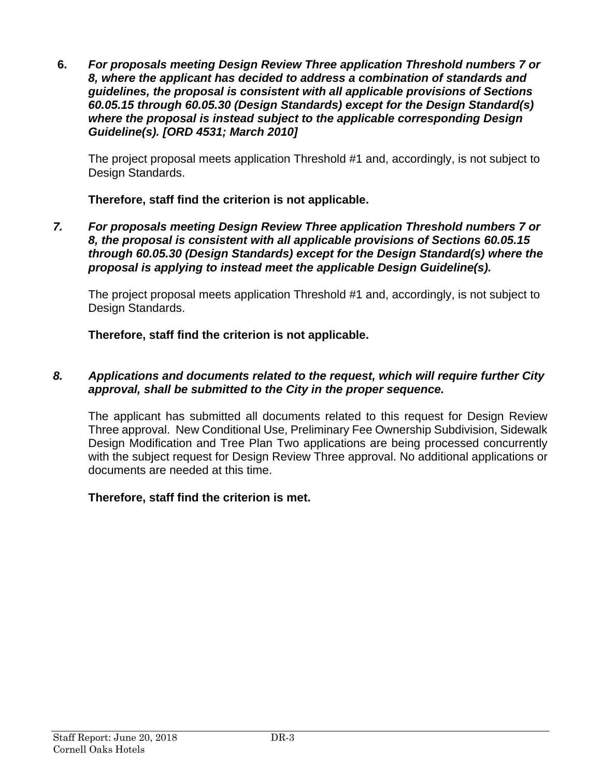**6.** *For proposals meeting Design Review Three application Threshold numbers 7 or 8, where the applicant has decided to address a combination of standards and guidelines, the proposal is consistent with all applicable provisions of Sections 60.05.15 through 60.05.30 (Design Standards) except for the Design Standard(s) where the proposal is instead subject to the applicable corresponding Design Guideline(s). [ORD 4531; March 2010]*

The project proposal meets application Threshold #1 and, accordingly, is not subject to Design Standards.

**Therefore, staff find the criterion is not applicable.** 

*7. For proposals meeting Design Review Three application Threshold numbers 7 or 8, the proposal is consistent with all applicable provisions of Sections 60.05.15 through 60.05.30 (Design Standards) except for the Design Standard(s) where the proposal is applying to instead meet the applicable Design Guideline(s).* 

The project proposal meets application Threshold #1 and, accordingly, is not subject to Design Standards.

**Therefore, staff find the criterion is not applicable.** 

### *8. Applications and documents related to the request, which will require further City approval, shall be submitted to the City in the proper sequence.*

The applicant has submitted all documents related to this request for Design Review Three approval. New Conditional Use, Preliminary Fee Ownership Subdivision, Sidewalk Design Modification and Tree Plan Two applications are being processed concurrently with the subject request for Design Review Three approval. No additional applications or documents are needed at this time.

# **Therefore, staff find the criterion is met.**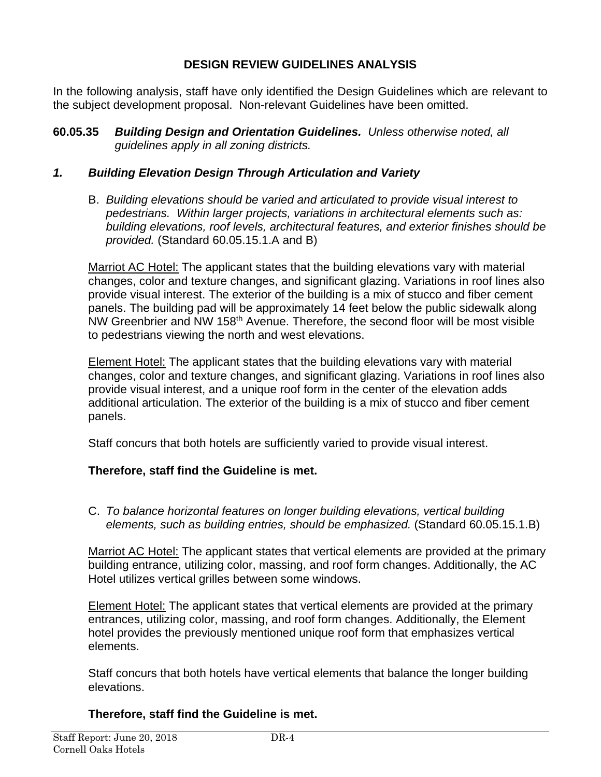### **DESIGN REVIEW GUIDELINES ANALYSIS**

In the following analysis, staff have only identified the Design Guidelines which are relevant to the subject development proposal. Non-relevant Guidelines have been omitted.

**60.05.35** *Building Design and Orientation Guidelines. Unless otherwise noted, all guidelines apply in all zoning districts.*

### *1. Building Elevation Design Through Articulation and Variety*

B. *Building elevations should be varied and articulated to provide visual interest to pedestrians. Within larger projects, variations in architectural elements such as: building elevations, roof levels, architectural features, and exterior finishes should be provided.* (Standard 60.05.15.1.A and B)

Marriot AC Hotel: The applicant states that the building elevations vary with material changes, color and texture changes, and significant glazing. Variations in roof lines also provide visual interest. The exterior of the building is a mix of stucco and fiber cement panels. The building pad will be approximately 14 feet below the public sidewalk along NW Greenbrier and NW 158<sup>th</sup> Avenue. Therefore, the second floor will be most visible to pedestrians viewing the north and west elevations.

Element Hotel: The applicant states that the building elevations vary with material changes, color and texture changes, and significant glazing. Variations in roof lines also provide visual interest, and a unique roof form in the center of the elevation adds additional articulation. The exterior of the building is a mix of stucco and fiber cement panels.

Staff concurs that both hotels are sufficiently varied to provide visual interest.

### **Therefore, staff find the Guideline is met.**

C. *To balance horizontal features on longer building elevations, vertical building elements, such as building entries, should be emphasized.* (Standard 60.05.15.1.B)

Marriot AC Hotel: The applicant states that vertical elements are provided at the primary building entrance, utilizing color, massing, and roof form changes. Additionally, the AC Hotel utilizes vertical grilles between some windows.

Element Hotel: The applicant states that vertical elements are provided at the primary entrances, utilizing color, massing, and roof form changes. Additionally, the Element hotel provides the previously mentioned unique roof form that emphasizes vertical elements.

Staff concurs that both hotels have vertical elements that balance the longer building elevations.

### **Therefore, staff find the Guideline is met.**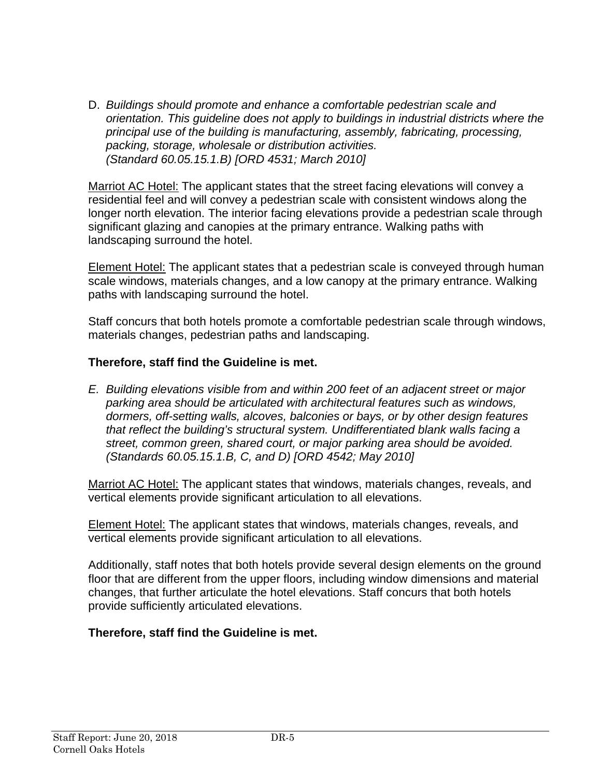D. *Buildings should promote and enhance a comfortable pedestrian scale and orientation. This guideline does not apply to buildings in industrial districts where the principal use of the building is manufacturing, assembly, fabricating, processing, packing, storage, wholesale or distribution activities. (Standard 60.05.15.1.B) [ORD 4531; March 2010]* 

Marriot AC Hotel: The applicant states that the street facing elevations will convey a residential feel and will convey a pedestrian scale with consistent windows along the longer north elevation. The interior facing elevations provide a pedestrian scale through significant glazing and canopies at the primary entrance. Walking paths with landscaping surround the hotel.

Element Hotel: The applicant states that a pedestrian scale is conveyed through human scale windows, materials changes, and a low canopy at the primary entrance. Walking paths with landscaping surround the hotel.

Staff concurs that both hotels promote a comfortable pedestrian scale through windows, materials changes, pedestrian paths and landscaping.

### **Therefore, staff find the Guideline is met.**

*E. Building elevations visible from and within 200 feet of an adjacent street or major parking area should be articulated with architectural features such as windows, dormers, off-setting walls, alcoves, balconies or bays, or by other design features that reflect the building's structural system. Undifferentiated blank walls facing a street, common green, shared court, or major parking area should be avoided. (Standards 60.05.15.1.B, C, and D) [ORD 4542; May 2010]* 

Marriot AC Hotel: The applicant states that windows, materials changes, reveals, and vertical elements provide significant articulation to all elevations.

Element Hotel: The applicant states that windows, materials changes, reveals, and vertical elements provide significant articulation to all elevations.

Additionally, staff notes that both hotels provide several design elements on the ground floor that are different from the upper floors, including window dimensions and material changes, that further articulate the hotel elevations. Staff concurs that both hotels provide sufficiently articulated elevations.

### **Therefore, staff find the Guideline is met.**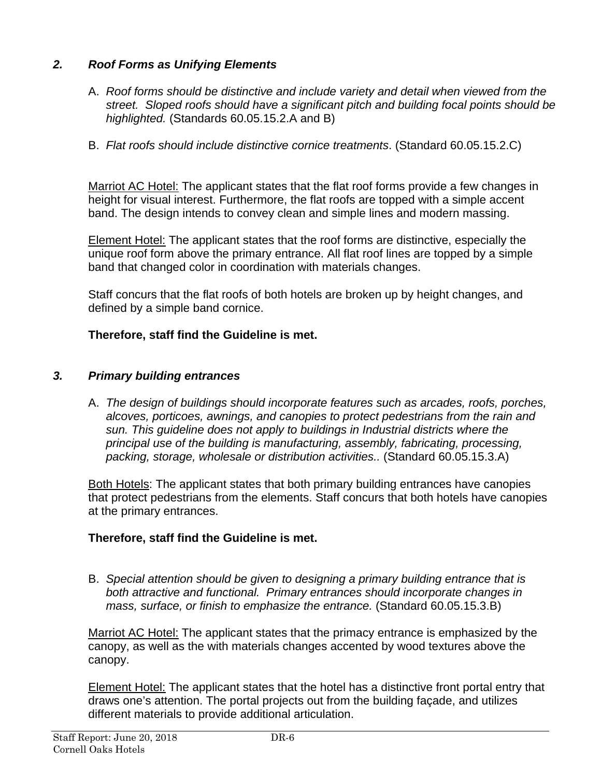# *2. Roof Forms as Unifying Elements*

- A. *Roof forms should be distinctive and include variety and detail when viewed from the street. Sloped roofs should have a significant pitch and building focal points should be highlighted.* (Standards 60.05.15.2.A and B)
- B. *Flat roofs should include distinctive cornice treatments*. (Standard 60.05.15.2.C)

Marriot AC Hotel: The applicant states that the flat roof forms provide a few changes in height for visual interest. Furthermore, the flat roofs are topped with a simple accent band. The design intends to convey clean and simple lines and modern massing.

Element Hotel: The applicant states that the roof forms are distinctive, especially the unique roof form above the primary entrance. All flat roof lines are topped by a simple band that changed color in coordination with materials changes.

Staff concurs that the flat roofs of both hotels are broken up by height changes, and defined by a simple band cornice.

# **Therefore, staff find the Guideline is met.**

### *3. Primary building entrances*

A. *The design of buildings should incorporate features such as arcades, roofs, porches, alcoves, porticoes, awnings, and canopies to protect pedestrians from the rain and sun. This guideline does not apply to buildings in Industrial districts where the principal use of the building is manufacturing, assembly, fabricating, processing, packing, storage, wholesale or distribution activities..* (Standard 60.05.15.3.A)

Both Hotels: The applicant states that both primary building entrances have canopies that protect pedestrians from the elements. Staff concurs that both hotels have canopies at the primary entrances.

### **Therefore, staff find the Guideline is met.**

B. *Special attention should be given to designing a primary building entrance that is both attractive and functional. Primary entrances should incorporate changes in mass, surface, or finish to emphasize the entrance.* (Standard 60.05.15.3.B)

Marriot AC Hotel: The applicant states that the primacy entrance is emphasized by the canopy, as well as the with materials changes accented by wood textures above the canopy.

**Element Hotel:** The applicant states that the hotel has a distinctive front portal entry that draws one's attention. The portal projects out from the building façade, and utilizes different materials to provide additional articulation.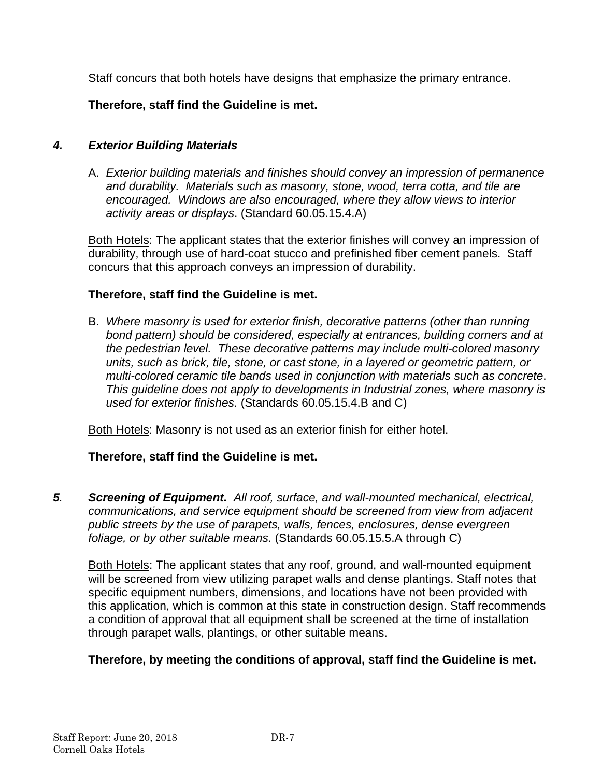Staff concurs that both hotels have designs that emphasize the primary entrance.

**Therefore, staff find the Guideline is met.** 

# *4. Exterior Building Materials*

A. *Exterior building materials and finishes should convey an impression of permanence and durability. Materials such as masonry, stone, wood, terra cotta, and tile are encouraged. Windows are also encouraged, where they allow views to interior activity areas or displays*. (Standard 60.05.15.4.A)

Both Hotels: The applicant states that the exterior finishes will convey an impression of durability, through use of hard-coat stucco and prefinished fiber cement panels. Staff concurs that this approach conveys an impression of durability.

# **Therefore, staff find the Guideline is met.**

B. *Where masonry is used for exterior finish, decorative patterns (other than running bond pattern) should be considered, especially at entrances, building corners and at the pedestrian level. These decorative patterns may include multi-colored masonry units, such as brick, tile, stone, or cast stone, in a layered or geometric pattern, or multi-colored ceramic tile bands used in conjunction with materials such as concrete*. *This guideline does not apply to developments in Industrial zones, where masonry is used for exterior finishes.* (Standards 60.05.15.4.B and C)

Both Hotels: Masonry is not used as an exterior finish for either hotel.

# **Therefore, staff find the Guideline is met.**

*5. Screening of Equipment. All roof, surface, and wall-mounted mechanical, electrical, communications, and service equipment should be screened from view from adjacent public streets by the use of parapets, walls, fences, enclosures, dense evergreen foliage, or by other suitable means.* (Standards 60.05.15.5.A through C)

Both Hotels: The applicant states that any roof, ground, and wall-mounted equipment will be screened from view utilizing parapet walls and dense plantings. Staff notes that specific equipment numbers, dimensions, and locations have not been provided with this application, which is common at this state in construction design. Staff recommends a condition of approval that all equipment shall be screened at the time of installation through parapet walls, plantings, or other suitable means.

# **Therefore, by meeting the conditions of approval, staff find the Guideline is met.**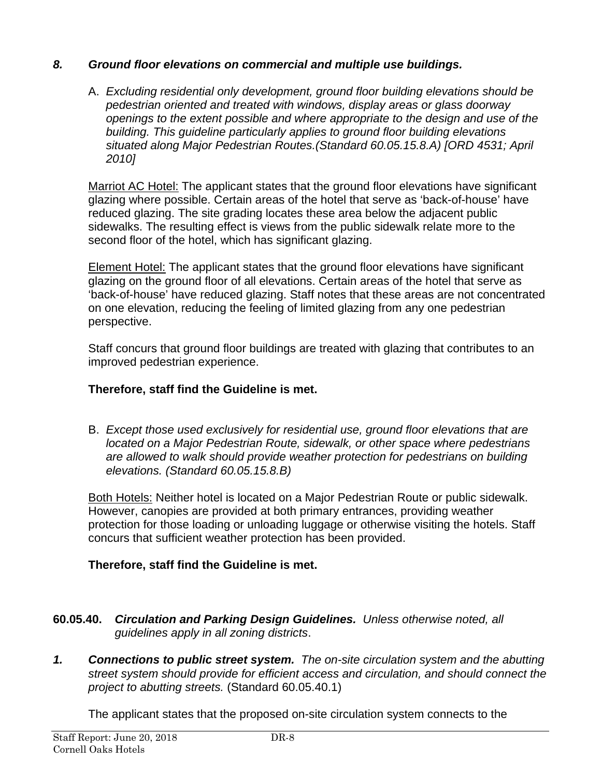### *8. Ground floor elevations on commercial and multiple use buildings.*

A. *Excluding residential only development, ground floor building elevations should be pedestrian oriented and treated with windows, display areas or glass doorway openings to the extent possible and where appropriate to the design and use of the building. This guideline particularly applies to ground floor building elevations situated along Major Pedestrian Routes.(Standard 60.05.15.8.A) [ORD 4531; April 2010]* 

Marriot AC Hotel: The applicant states that the ground floor elevations have significant glazing where possible. Certain areas of the hotel that serve as 'back-of-house' have reduced glazing. The site grading locates these area below the adjacent public sidewalks. The resulting effect is views from the public sidewalk relate more to the second floor of the hotel, which has significant glazing.

Element Hotel: The applicant states that the ground floor elevations have significant glazing on the ground floor of all elevations. Certain areas of the hotel that serve as 'back-of-house' have reduced glazing. Staff notes that these areas are not concentrated on one elevation, reducing the feeling of limited glazing from any one pedestrian perspective.

Staff concurs that ground floor buildings are treated with glazing that contributes to an improved pedestrian experience.

# **Therefore, staff find the Guideline is met.**

B. *Except those used exclusively for residential use, ground floor elevations that are located on a Major Pedestrian Route, sidewalk, or other space where pedestrians are allowed to walk should provide weather protection for pedestrians on building elevations. (Standard 60.05.15.8.B)* 

Both Hotels: Neither hotel is located on a Major Pedestrian Route or public sidewalk. However, canopies are provided at both primary entrances, providing weather protection for those loading or unloading luggage or otherwise visiting the hotels. Staff concurs that sufficient weather protection has been provided.

# **Therefore, staff find the Guideline is met.**

- **60.05.40.** *Circulation and Parking Design Guidelines. Unless otherwise noted, all guidelines apply in all zoning districts*.
- *1. Connections to public street system. The on-site circulation system and the abutting street system should provide for efficient access and circulation, and should connect the project to abutting streets.* (Standard 60.05.40.1)

The applicant states that the proposed on-site circulation system connects to the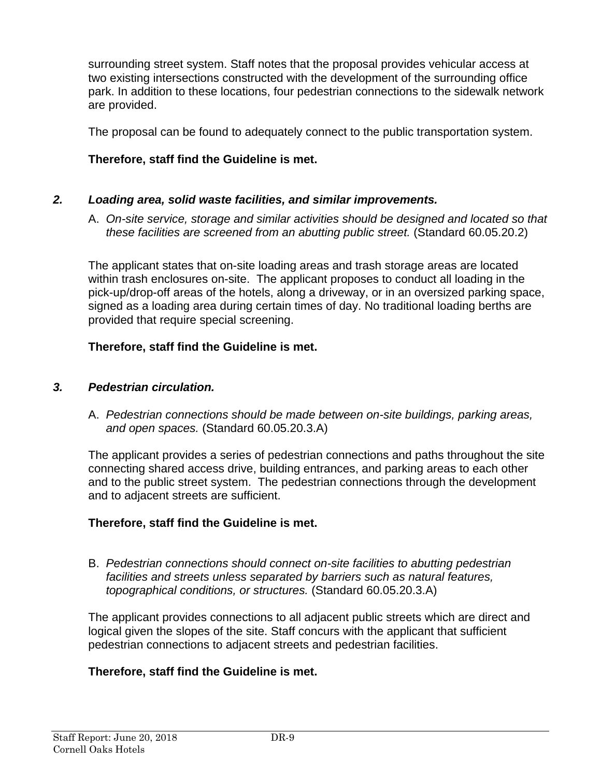surrounding street system. Staff notes that the proposal provides vehicular access at two existing intersections constructed with the development of the surrounding office park. In addition to these locations, four pedestrian connections to the sidewalk network are provided.

The proposal can be found to adequately connect to the public transportation system.

### **Therefore, staff find the Guideline is met.**

## *2. Loading area, solid waste facilities, and similar improvements.*

A. *On-site service, storage and similar activities should be designed and located so that these facilities are screened from an abutting public street.* (Standard 60.05.20.2)

The applicant states that on-site loading areas and trash storage areas are located within trash enclosures on-site. The applicant proposes to conduct all loading in the pick-up/drop-off areas of the hotels, along a driveway, or in an oversized parking space, signed as a loading area during certain times of day. No traditional loading berths are provided that require special screening.

# **Therefore, staff find the Guideline is met.**

### *3. Pedestrian circulation.*

A. *Pedestrian connections should be made between on-site buildings, parking areas, and open spaces.* (Standard 60.05.20.3.A)

The applicant provides a series of pedestrian connections and paths throughout the site connecting shared access drive, building entrances, and parking areas to each other and to the public street system. The pedestrian connections through the development and to adjacent streets are sufficient.

### **Therefore, staff find the Guideline is met.**

B. *Pedestrian connections should connect on-site facilities to abutting pedestrian facilities and streets unless separated by barriers such as natural features, topographical conditions, or structures.* (Standard 60.05.20.3.A)

The applicant provides connections to all adjacent public streets which are direct and logical given the slopes of the site. Staff concurs with the applicant that sufficient pedestrian connections to adjacent streets and pedestrian facilities.

### **Therefore, staff find the Guideline is met.**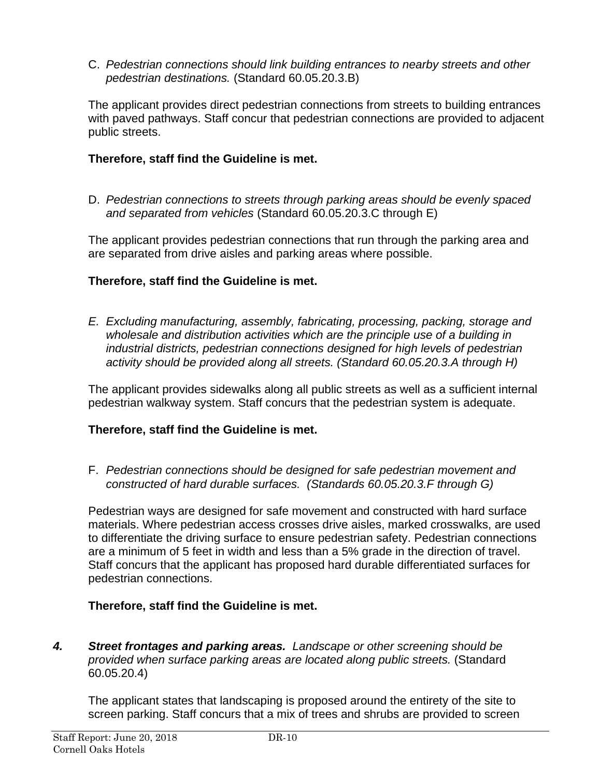C. *Pedestrian connections should link building entrances to nearby streets and other pedestrian destinations.* (Standard 60.05.20.3.B)

The applicant provides direct pedestrian connections from streets to building entrances with paved pathways. Staff concur that pedestrian connections are provided to adjacent public streets.

### **Therefore, staff find the Guideline is met.**

D. *Pedestrian connections to streets through parking areas should be evenly spaced and separated from vehicles* (Standard 60.05.20.3.C through E)

The applicant provides pedestrian connections that run through the parking area and are separated from drive aisles and parking areas where possible.

### **Therefore, staff find the Guideline is met.**

*E. Excluding manufacturing, assembly, fabricating, processing, packing, storage and wholesale and distribution activities which are the principle use of a building in industrial districts, pedestrian connections designed for high levels of pedestrian activity should be provided along all streets. (Standard 60.05.20.3.A through H)* 

The applicant provides sidewalks along all public streets as well as a sufficient internal pedestrian walkway system. Staff concurs that the pedestrian system is adequate.

### **Therefore, staff find the Guideline is met.**

F. *Pedestrian connections should be designed for safe pedestrian movement and constructed of hard durable surfaces. (Standards 60.05.20.3.F through G)* 

Pedestrian ways are designed for safe movement and constructed with hard surface materials. Where pedestrian access crosses drive aisles, marked crosswalks, are used to differentiate the driving surface to ensure pedestrian safety. Pedestrian connections are a minimum of 5 feet in width and less than a 5% grade in the direction of travel. Staff concurs that the applicant has proposed hard durable differentiated surfaces for pedestrian connections.

### **Therefore, staff find the Guideline is met.**

*4. Street frontages and parking areas. Landscape or other screening should be provided when surface parking areas are located along public streets.* (Standard 60.05.20.4)

The applicant states that landscaping is proposed around the entirety of the site to screen parking. Staff concurs that a mix of trees and shrubs are provided to screen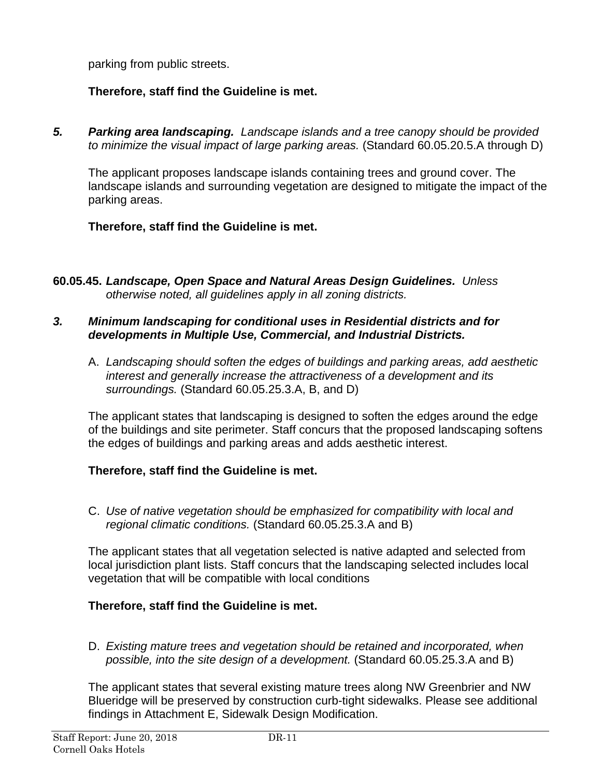parking from public streets.

# **Therefore, staff find the Guideline is met.**

*5. Parking area landscaping. Landscape islands and a tree canopy should be provided to minimize the visual impact of large parking areas.* (Standard 60.05.20.5.A through D)

The applicant proposes landscape islands containing trees and ground cover. The landscape islands and surrounding vegetation are designed to mitigate the impact of the parking areas.

### **Therefore, staff find the Guideline is met.**

**60.05.45.** *Landscape, Open Space and Natural Areas Design Guidelines. Unless otherwise noted, all guidelines apply in all zoning districts.*

### *3. Minimum landscaping for conditional uses in Residential districts and for developments in Multiple Use, Commercial, and Industrial Districts.*

A. *Landscaping should soften the edges of buildings and parking areas, add aesthetic interest and generally increase the attractiveness of a development and its surroundings.* (Standard 60.05.25.3.A, B, and D)

The applicant states that landscaping is designed to soften the edges around the edge of the buildings and site perimeter. Staff concurs that the proposed landscaping softens the edges of buildings and parking areas and adds aesthetic interest.

### **Therefore, staff find the Guideline is met.**

C. *Use of native vegetation should be emphasized for compatibility with local and regional climatic conditions.* (Standard 60.05.25.3.A and B)

The applicant states that all vegetation selected is native adapted and selected from local jurisdiction plant lists. Staff concurs that the landscaping selected includes local vegetation that will be compatible with local conditions

# **Therefore, staff find the Guideline is met.**

D. *Existing mature trees and vegetation should be retained and incorporated, when possible, into the site design of a development.* (Standard 60.05.25.3.A and B)

The applicant states that several existing mature trees along NW Greenbrier and NW Blueridge will be preserved by construction curb-tight sidewalks. Please see additional findings in Attachment E, Sidewalk Design Modification.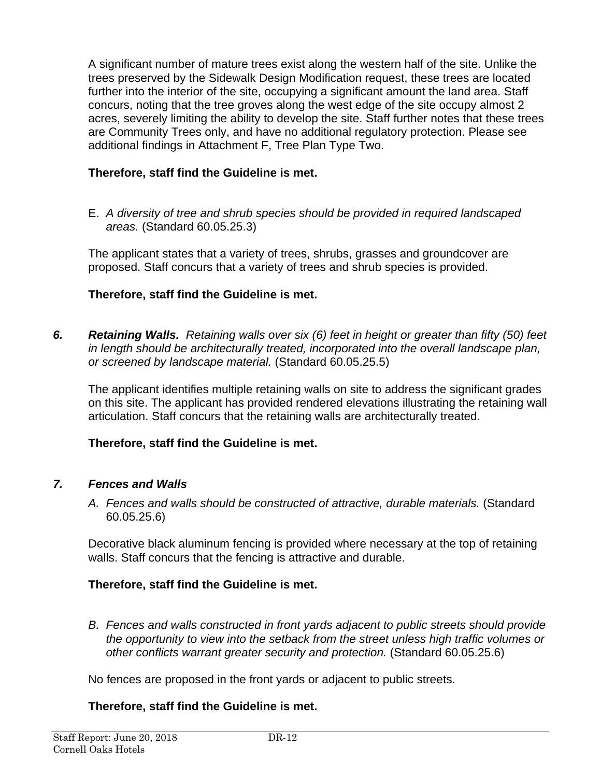A significant number of mature trees exist along the western half of the site. Unlike the trees preserved by the Sidewalk Design Modification request, these trees are located further into the interior of the site, occupying a significant amount the land area. Staff concurs, noting that the tree groves along the west edge of the site occupy almost 2 acres, severely limiting the ability to develop the site. Staff further notes that these trees are Community Trees only, and have no additional regulatory protection. Please see additional findings in Attachment F, Tree Plan Type Two.

### **Therefore, staff find the Guideline is met.**

E. *A diversity of tree and shrub species should be provided in required landscaped areas.* (Standard 60.05.25.3)

The applicant states that a variety of trees, shrubs, grasses and groundcover are proposed. Staff concurs that a variety of trees and shrub species is provided.

### **Therefore, staff find the Guideline is met.**

*6. Retaining Walls. Retaining walls over six (6) feet in height or greater than fifty (50) feet in length should be architecturally treated, incorporated into the overall landscape plan, or screened by landscape material.* (Standard 60.05.25.5)

The applicant identifies multiple retaining walls on site to address the significant grades on this site. The applicant has provided rendered elevations illustrating the retaining wall articulation. Staff concurs that the retaining walls are architecturally treated.

### **Therefore, staff find the Guideline is met.**

### *7. Fences and Walls*

*A. Fences and walls should be constructed of attractive, durable materials.* (Standard 60.05.25.6)

Decorative black aluminum fencing is provided where necessary at the top of retaining walls. Staff concurs that the fencing is attractive and durable.

### **Therefore, staff find the Guideline is met.**

*B. Fences and walls constructed in front yards adjacent to public streets should provide the opportunity to view into the setback from the street unless high traffic volumes or other conflicts warrant greater security and protection.* (Standard 60.05.25.6)

No fences are proposed in the front yards or adjacent to public streets.

### **Therefore, staff find the Guideline is met.**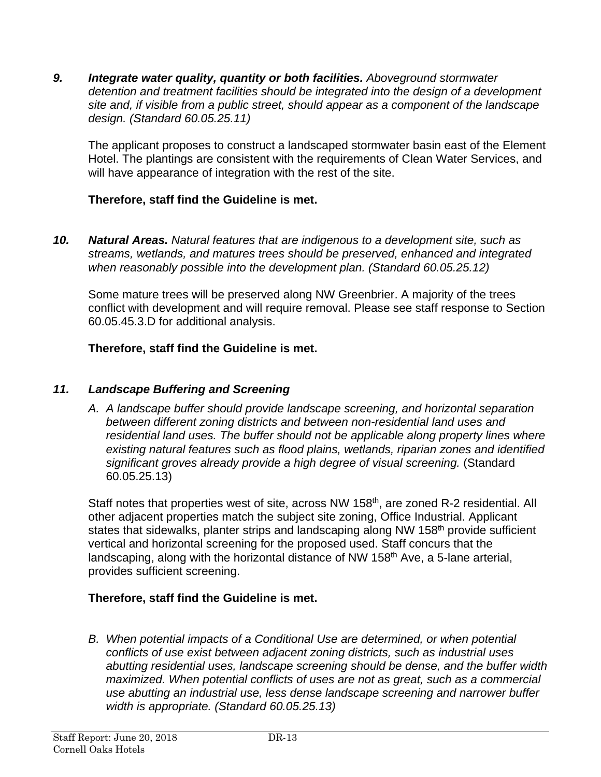*9. Integrate water quality, quantity or both facilities. Aboveground stormwater detention and treatment facilities should be integrated into the design of a development site and, if visible from a public street, should appear as a component of the landscape design. (Standard 60.05.25.11)*

The applicant proposes to construct a landscaped stormwater basin east of the Element Hotel. The plantings are consistent with the requirements of Clean Water Services, and will have appearance of integration with the rest of the site.

### **Therefore, staff find the Guideline is met.**

*10. Natural Areas. Natural features that are indigenous to a development site, such as streams, wetlands, and matures trees should be preserved, enhanced and integrated when reasonably possible into the development plan. (Standard 60.05.25.12)*

Some mature trees will be preserved along NW Greenbrier. A majority of the trees conflict with development and will require removal. Please see staff response to Section 60.05.45.3.D for additional analysis.

### **Therefore, staff find the Guideline is met.**

### *11. Landscape Buffering and Screening*

*A. A landscape buffer should provide landscape screening, and horizontal separation between different zoning districts and between non-residential land uses and residential land uses. The buffer should not be applicable along property lines where existing natural features such as flood plains, wetlands, riparian zones and identified significant groves already provide a high degree of visual screening.* (Standard 60.05.25.13)

Staff notes that properties west of site, across NW 158<sup>th</sup>, are zoned R-2 residential. All other adjacent properties match the subject site zoning, Office Industrial. Applicant states that sidewalks, planter strips and landscaping along NW 158<sup>th</sup> provide sufficient vertical and horizontal screening for the proposed used. Staff concurs that the landscaping, along with the horizontal distance of NW 158<sup>th</sup> Ave, a 5-lane arterial, provides sufficient screening.

### **Therefore, staff find the Guideline is met.**

**B.** When potential impacts of a Conditional Use are determined, or when potential *conflicts of use exist between adjacent zoning districts, such as industrial uses abutting residential uses, landscape screening should be dense, and the buffer width maximized. When potential conflicts of uses are not as great, such as a commercial use abutting an industrial use, less dense landscape screening and narrower buffer width is appropriate. (Standard 60.05.25.13)*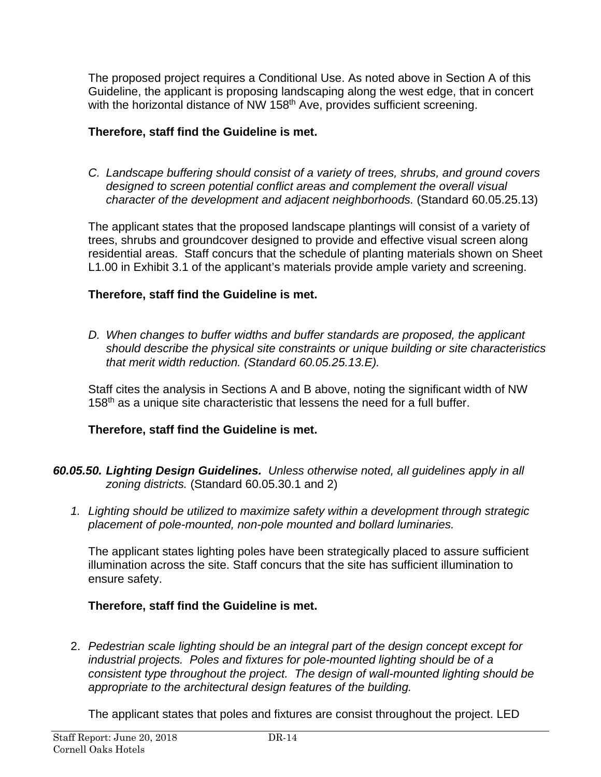The proposed project requires a Conditional Use. As noted above in Section A of this Guideline, the applicant is proposing landscaping along the west edge, that in concert with the horizontal distance of NW 158<sup>th</sup> Ave, provides sufficient screening.

### **Therefore, staff find the Guideline is met.**

*C. Landscape buffering should consist of a variety of trees, shrubs, and ground covers designed to screen potential conflict areas and complement the overall visual character of the development and adjacent neighborhoods.* (Standard 60.05.25.13)

The applicant states that the proposed landscape plantings will consist of a variety of trees, shrubs and groundcover designed to provide and effective visual screen along residential areas. Staff concurs that the schedule of planting materials shown on Sheet L1.00 in Exhibit 3.1 of the applicant's materials provide ample variety and screening.

# **Therefore, staff find the Guideline is met.**

*D. When changes to buffer widths and buffer standards are proposed, the applicant should describe the physical site constraints or unique building or site characteristics that merit width reduction. (Standard 60.05.25.13.E).*

Staff cites the analysis in Sections A and B above, noting the significant width of NW 158<sup>th</sup> as a unique site characteristic that lessens the need for a full buffer.

# **Therefore, staff find the Guideline is met.**

- *60.05.50. Lighting Design Guidelines. Unless otherwise noted, all guidelines apply in all zoning districts.* (Standard 60.05.30.1 and 2)
	- *1. Lighting should be utilized to maximize safety within a development through strategic placement of pole-mounted, non-pole mounted and bollard luminaries.*

The applicant states lighting poles have been strategically placed to assure sufficient illumination across the site. Staff concurs that the site has sufficient illumination to ensure safety.

# **Therefore, staff find the Guideline is met.**

2. *Pedestrian scale lighting should be an integral part of the design concept except for industrial projects. Poles and fixtures for pole-mounted lighting should be of a consistent type throughout the project. The design of wall-mounted lighting should be appropriate to the architectural design features of the building.*

The applicant states that poles and fixtures are consist throughout the project. LED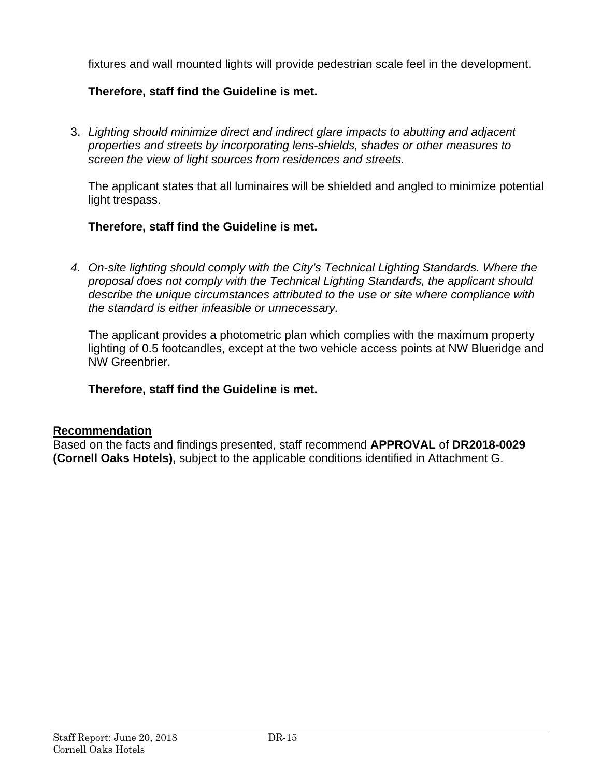fixtures and wall mounted lights will provide pedestrian scale feel in the development.

# **Therefore, staff find the Guideline is met.**

3. *Lighting should minimize direct and indirect glare impacts to abutting and adjacent properties and streets by incorporating lens-shields, shades or other measures to screen the view of light sources from residences and streets.*

The applicant states that all luminaires will be shielded and angled to minimize potential light trespass.

# **Therefore, staff find the Guideline is met.**

*4. On-site lighting should comply with the City's Technical Lighting Standards. Where the proposal does not comply with the Technical Lighting Standards, the applicant should describe the unique circumstances attributed to the use or site where compliance with the standard is either infeasible or unnecessary.* 

The applicant provides a photometric plan which complies with the maximum property lighting of 0.5 footcandles, except at the two vehicle access points at NW Blueridge and NW Greenbrier.

### **Therefore, staff find the Guideline is met.**

### **Recommendation**

Based on the facts and findings presented, staff recommend **APPROVAL** of **DR2018-0029 (Cornell Oaks Hotels),** subject to the applicable conditions identified in Attachment G.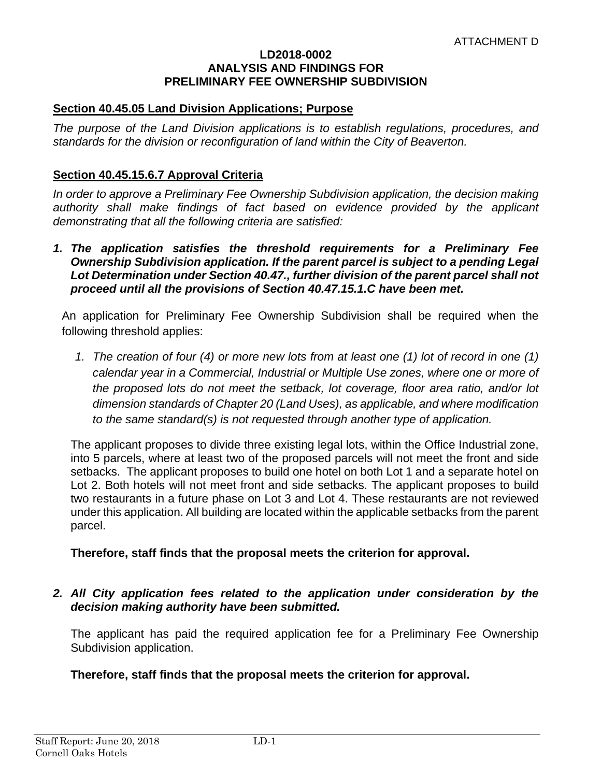#### **LD2018-0002 ANALYSIS AND FINDINGS FOR PRELIMINARY FEE OWNERSHIP SUBDIVISION**

#### **Section 40.45.05 Land Division Applications; Purpose**

*The purpose of the Land Division applications is to establish regulations, procedures, and standards for the division or reconfiguration of land within the City of Beaverton.* 

#### **Section 40.45.15.6.7 Approval Criteria**

*In order to approve a Preliminary Fee Ownership Subdivision application, the decision making authority shall make findings of fact based on evidence provided by the applicant demonstrating that all the following criteria are satisfied:* 

 *1. The application satisfies the threshold requirements for a Preliminary Fee Ownership Subdivision application. If the parent parcel is subject to a pending Legal Lot Determination under Section 40.47., further division of the parent parcel shall not proceed until all the provisions of Section 40.47.15.1.C have been met.* 

An application for Preliminary Fee Ownership Subdivision shall be required when the following threshold applies:

*1. The creation of four (4) or more new lots from at least one (1) lot of record in one (1) calendar year in a Commercial, Industrial or Multiple Use zones, where one or more of the proposed lots do not meet the setback, lot coverage, floor area ratio, and/or lot dimension standards of Chapter 20 (Land Uses), as applicable, and where modification to the same standard(s) is not requested through another type of application.* 

The applicant proposes to divide three existing legal lots, within the Office Industrial zone, into 5 parcels, where at least two of the proposed parcels will not meet the front and side setbacks. The applicant proposes to build one hotel on both Lot 1 and a separate hotel on Lot 2. Both hotels will not meet front and side setbacks. The applicant proposes to build two restaurants in a future phase on Lot 3 and Lot 4. These restaurants are not reviewed under this application. All building are located within the applicable setbacks from the parent parcel.

#### **Therefore, staff finds that the proposal meets the criterion for approval.**

#### *2. All City application fees related to the application under consideration by the decision making authority have been submitted.*

The applicant has paid the required application fee for a Preliminary Fee Ownership Subdivision application.

#### **Therefore, staff finds that the proposal meets the criterion for approval.**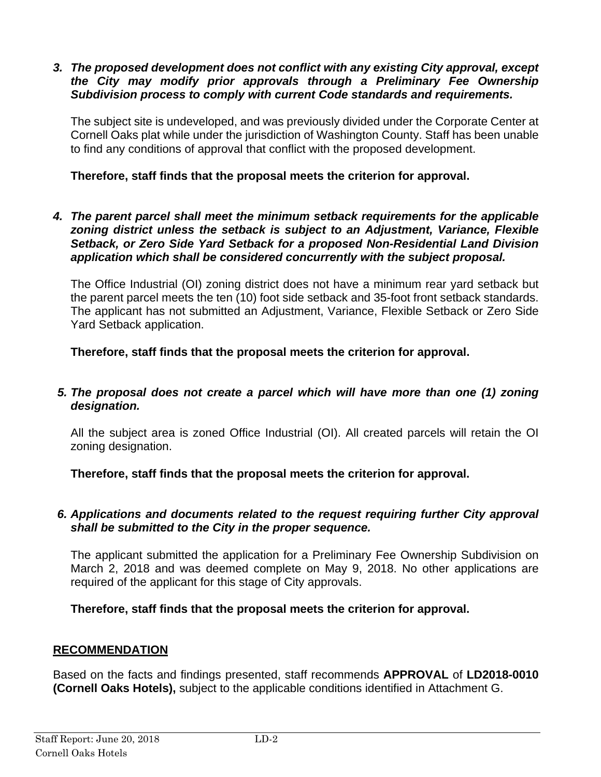*3. The proposed development does not conflict with any existing City approval, except the City may modify prior approvals through a Preliminary Fee Ownership Subdivision process to comply with current Code standards and requirements.* 

The subject site is undeveloped, and was previously divided under the Corporate Center at Cornell Oaks plat while under the jurisdiction of Washington County. Staff has been unable to find any conditions of approval that conflict with the proposed development.

### **Therefore, staff finds that the proposal meets the criterion for approval.**

*4. The parent parcel shall meet the minimum setback requirements for the applicable zoning district unless the setback is subject to an Adjustment, Variance, Flexible Setback, or Zero Side Yard Setback for a proposed Non-Residential Land Division application which shall be considered concurrently with the subject proposal.* 

The Office Industrial (OI) zoning district does not have a minimum rear yard setback but the parent parcel meets the ten (10) foot side setback and 35-foot front setback standards. The applicant has not submitted an Adjustment, Variance, Flexible Setback or Zero Side Yard Setback application.

**Therefore, staff finds that the proposal meets the criterion for approval.** 

#### *5. The proposal does not create a parcel which will have more than one (1) zoning designation.*

All the subject area is zoned Office Industrial (OI). All created parcels will retain the OI zoning designation.

**Therefore, staff finds that the proposal meets the criterion for approval.**

#### *6. Applications and documents related to the request requiring further City approval shall be submitted to the City in the proper sequence.*

The applicant submitted the application for a Preliminary Fee Ownership Subdivision on March 2, 2018 and was deemed complete on May 9, 2018. No other applications are required of the applicant for this stage of City approvals.

**Therefore, staff finds that the proposal meets the criterion for approval.**

### **RECOMMENDATION**

Based on the facts and findings presented, staff recommends **APPROVAL** of **LD2018-0010 (Cornell Oaks Hotels),** subject to the applicable conditions identified in Attachment G.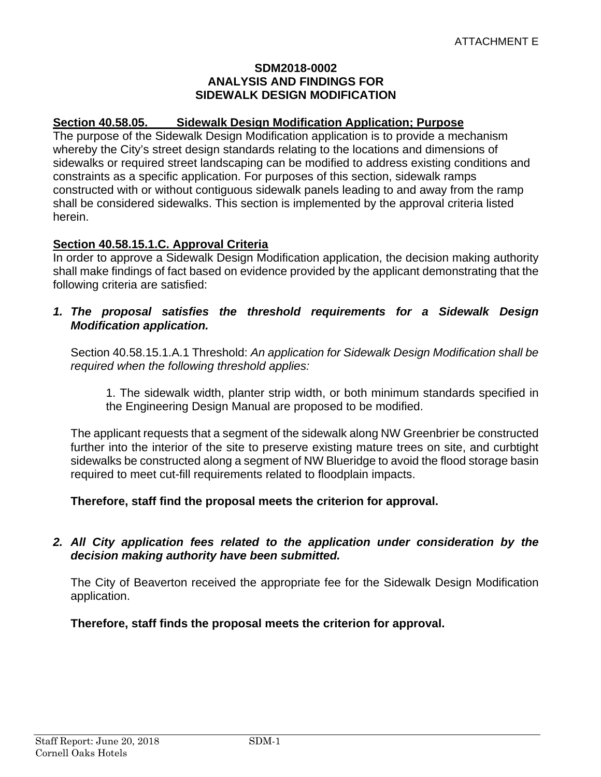#### **SDM2018-0002 ANALYSIS AND FINDINGS FOR SIDEWALK DESIGN MODIFICATION**

#### **Section 40.58.05. Sidewalk Design Modification Application; Purpose**

The purpose of the Sidewalk Design Modification application is to provide a mechanism whereby the City's street design standards relating to the locations and dimensions of sidewalks or required street landscaping can be modified to address existing conditions and constraints as a specific application. For purposes of this section, sidewalk ramps constructed with or without contiguous sidewalk panels leading to and away from the ramp shall be considered sidewalks. This section is implemented by the approval criteria listed herein.

#### **Section 40.58.15.1.C. Approval Criteria**

In order to approve a Sidewalk Design Modification application, the decision making authority shall make findings of fact based on evidence provided by the applicant demonstrating that the following criteria are satisfied:

#### *1. The proposal satisfies the threshold requirements for a Sidewalk Design Modification application.*

Section 40.58.15.1.A.1 Threshold: *An application for Sidewalk Design Modification shall be required when the following threshold applies:* 

1. The sidewalk width, planter strip width, or both minimum standards specified in the Engineering Design Manual are proposed to be modified.

The applicant requests that a segment of the sidewalk along NW Greenbrier be constructed further into the interior of the site to preserve existing mature trees on site, and curbtight sidewalks be constructed along a segment of NW Blueridge to avoid the flood storage basin required to meet cut-fill requirements related to floodplain impacts.

#### **Therefore, staff find the proposal meets the criterion for approval.**

#### *2. All City application fees related to the application under consideration by the decision making authority have been submitted.*

The City of Beaverton received the appropriate fee for the Sidewalk Design Modification application.

**Therefore, staff finds the proposal meets the criterion for approval.**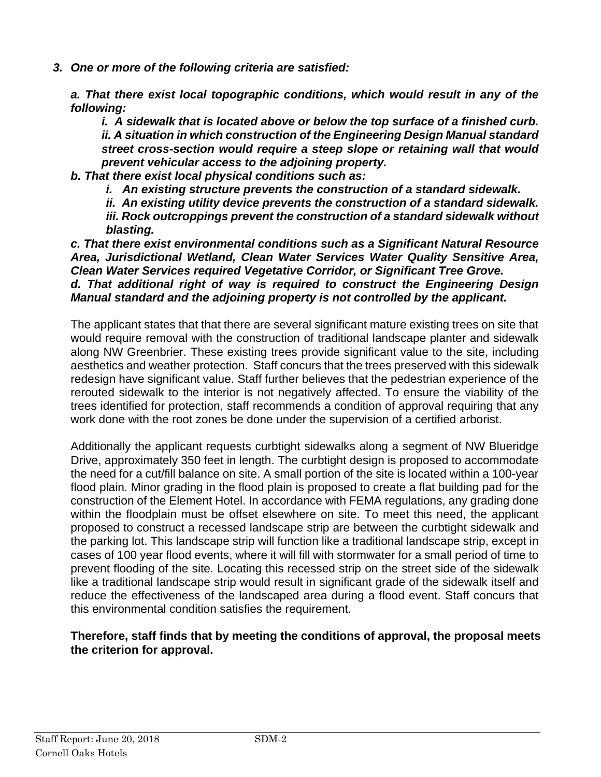*3. One or more of the following criteria are satisfied:* 

*a. That there exist local topographic conditions, which would result in any of the following:* 

*i. A sidewalk that is located above or below the top surface of a finished curb. ii. A situation in which construction of the Engineering Design Manual standard street cross-section would require a steep slope or retaining wall that would prevent vehicular access to the adjoining property.* 

- *b. That there exist local physical conditions such as:* 
	- *i. An existing structure prevents the construction of a standard sidewalk.*

*ii. An existing utility device prevents the construction of a standard sidewalk. iii. Rock outcroppings prevent the construction of a standard sidewalk without* 

*blasting.* 

*c. That there exist environmental conditions such as a Significant Natural Resource Area, Jurisdictional Wetland, Clean Water Services Water Quality Sensitive Area, Clean Water Services required Vegetative Corridor, or Significant Tree Grove. d. That additional right of way is required to construct the Engineering Design Manual standard and the adjoining property is not controlled by the applicant.* 

The applicant states that that there are several significant mature existing trees on site that would require removal with the construction of traditional landscape planter and sidewalk along NW Greenbrier. These existing trees provide significant value to the site, including aesthetics and weather protection. Staff concurs that the trees preserved with this sidewalk redesign have significant value. Staff further believes that the pedestrian experience of the rerouted sidewalk to the interior is not negatively affected. To ensure the viability of the trees identified for protection, staff recommends a condition of approval requiring that any work done with the root zones be done under the supervision of a certified arborist.

Additionally the applicant requests curbtight sidewalks along a segment of NW Blueridge Drive, approximately 350 feet in length. The curbtight design is proposed to accommodate the need for a cut/fill balance on site. A small portion of the site is located within a 100-year flood plain. Minor grading in the flood plain is proposed to create a flat building pad for the construction of the Element Hotel. In accordance with FEMA regulations, any grading done within the floodplain must be offset elsewhere on site. To meet this need, the applicant proposed to construct a recessed landscape strip are between the curbtight sidewalk and the parking lot. This landscape strip will function like a traditional landscape strip, except in cases of 100 year flood events, where it will fill with stormwater for a small period of time to prevent flooding of the site. Locating this recessed strip on the street side of the sidewalk like a traditional landscape strip would result in significant grade of the sidewalk itself and reduce the effectiveness of the landscaped area during a flood event. Staff concurs that this environmental condition satisfies the requirement.

#### **Therefore, staff finds that by meeting the conditions of approval, the proposal meets the criterion for approval.**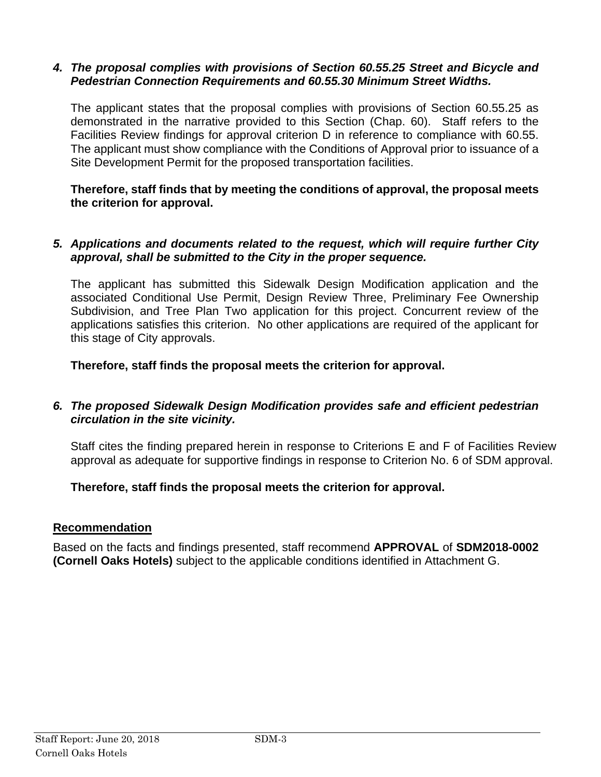#### *4. The proposal complies with provisions of Section 60.55.25 Street and Bicycle and Pedestrian Connection Requirements and 60.55.30 Minimum Street Widths.*

The applicant states that the proposal complies with provisions of Section 60.55.25 as demonstrated in the narrative provided to this Section (Chap. 60). Staff refers to the Facilities Review findings for approval criterion D in reference to compliance with 60.55. The applicant must show compliance with the Conditions of Approval prior to issuance of a Site Development Permit for the proposed transportation facilities.

#### **Therefore, staff finds that by meeting the conditions of approval, the proposal meets the criterion for approval.**

#### *5. Applications and documents related to the request, which will require further City approval, shall be submitted to the City in the proper sequence.*

The applicant has submitted this Sidewalk Design Modification application and the associated Conditional Use Permit, Design Review Three, Preliminary Fee Ownership Subdivision, and Tree Plan Two application for this project. Concurrent review of the applications satisfies this criterion. No other applications are required of the applicant for this stage of City approvals.

**Therefore, staff finds the proposal meets the criterion for approval.** 

### *6. The proposed Sidewalk Design Modification provides safe and efficient pedestrian circulation in the site vicinity.*

Staff cites the finding prepared herein in response to Criterions E and F of Facilities Review approval as adequate for supportive findings in response to Criterion No. 6 of SDM approval.

### **Therefore, staff finds the proposal meets the criterion for approval.**

### **Recommendation**

Based on the facts and findings presented, staff recommend **APPROVAL** of **SDM2018-0002 (Cornell Oaks Hotels)** subject to the applicable conditions identified in Attachment G.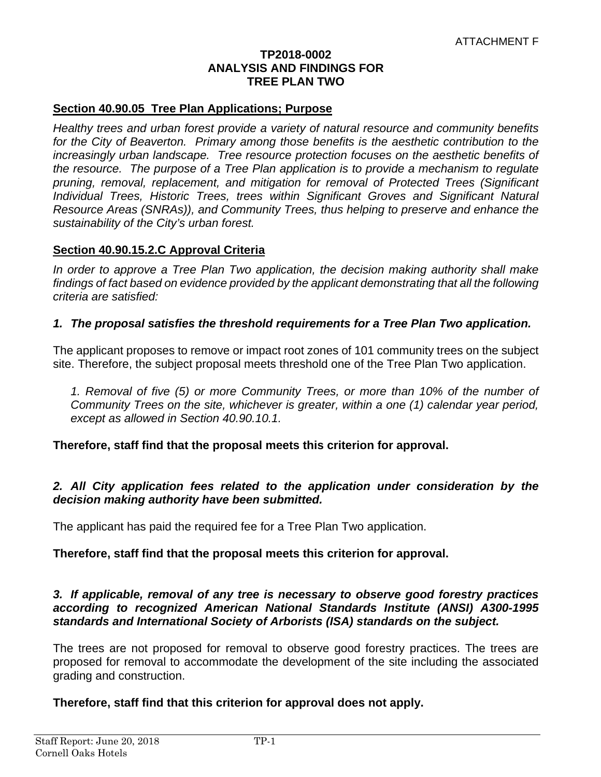#### **TP2018-0002 ANALYSIS AND FINDINGS FOR TREE PLAN TWO**

#### **Section 40.90.05 Tree Plan Applications; Purpose**

*Healthy trees and urban forest provide a variety of natural resource and community benefits for the City of Beaverton. Primary among those benefits is the aesthetic contribution to the*  increasingly urban landscape. Tree resource protection focuses on the aesthetic benefits of *the resource. The purpose of a Tree Plan application is to provide a mechanism to regulate pruning, removal, replacement, and mitigation for removal of Protected Trees (Significant Individual Trees, Historic Trees, trees within Significant Groves and Significant Natural Resource Areas (SNRAs)), and Community Trees, thus helping to preserve and enhance the sustainability of the City's urban forest.* 

#### **Section 40.90.15.2.C Approval Criteria**

*In order to approve a Tree Plan Two application, the decision making authority shall make findings of fact based on evidence provided by the applicant demonstrating that all the following criteria are satisfied:* 

#### *1. The proposal satisfies the threshold requirements for a Tree Plan Two application.*

The applicant proposes to remove or impact root zones of 101 community trees on the subject site. Therefore, the subject proposal meets threshold one of the Tree Plan Two application.

*1. Removal of five (5) or more Community Trees, or more than 10% of the number of Community Trees on the site, whichever is greater, within a one (1) calendar year period, except as allowed in Section 40.90.10.1.*

**Therefore, staff find that the proposal meets this criterion for approval.** 

#### *2. All City application fees related to the application under consideration by the decision making authority have been submitted.*

The applicant has paid the required fee for a Tree Plan Two application.

#### **Therefore, staff find that the proposal meets this criterion for approval.**

#### *3. If applicable, removal of any tree is necessary to observe good forestry practices according to recognized American National Standards Institute (ANSI) A300-1995 standards and International Society of Arborists (ISA) standards on the subject.*

The trees are not proposed for removal to observe good forestry practices. The trees are proposed for removal to accommodate the development of the site including the associated grading and construction.

**Therefore, staff find that this criterion for approval does not apply.**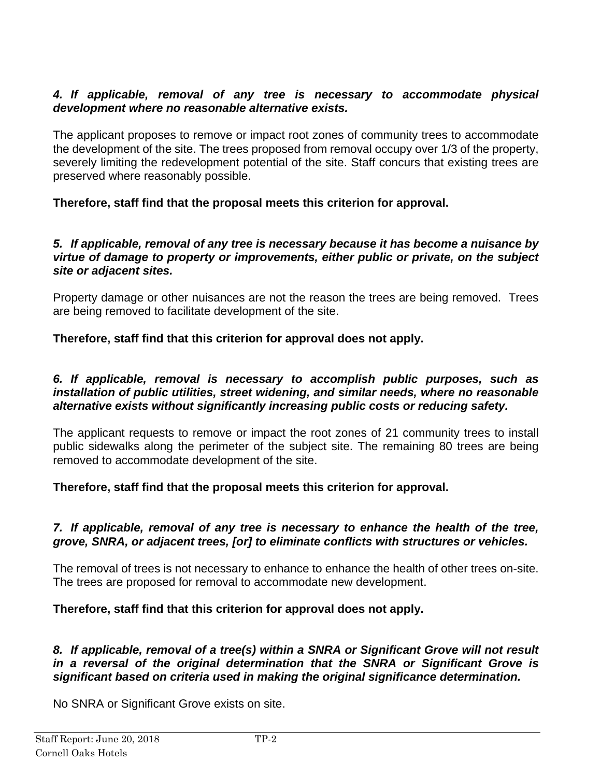### *4. If applicable, removal of any tree is necessary to accommodate physical development where no reasonable alternative exists.*

The applicant proposes to remove or impact root zones of community trees to accommodate the development of the site. The trees proposed from removal occupy over 1/3 of the property, severely limiting the redevelopment potential of the site. Staff concurs that existing trees are preserved where reasonably possible.

**Therefore, staff find that the proposal meets this criterion for approval.** 

#### *5. If applicable, removal of any tree is necessary because it has become a nuisance by virtue of damage to property or improvements, either public or private, on the subject site or adjacent sites.*

Property damage or other nuisances are not the reason the trees are being removed. Trees are being removed to facilitate development of the site.

#### **Therefore, staff find that this criterion for approval does not apply.**

#### *6. If applicable, removal is necessary to accomplish public purposes, such as installation of public utilities, street widening, and similar needs, where no reasonable alternative exists without significantly increasing public costs or reducing safety.*

The applicant requests to remove or impact the root zones of 21 community trees to install public sidewalks along the perimeter of the subject site. The remaining 80 trees are being removed to accommodate development of the site.

#### **Therefore, staff find that the proposal meets this criterion for approval.**

#### *7. If applicable, removal of any tree is necessary to enhance the health of the tree, grove, SNRA, or adjacent trees, [or] to eliminate conflicts with structures or vehicles.*

The removal of trees is not necessary to enhance to enhance the health of other trees on-site. The trees are proposed for removal to accommodate new development.

### **Therefore, staff find that this criterion for approval does not apply.**

#### *8. If applicable, removal of a tree(s) within a SNRA or Significant Grove will not result in a reversal of the original determination that the SNRA or Significant Grove is significant based on criteria used in making the original significance determination.*

No SNRA or Significant Grove exists on site.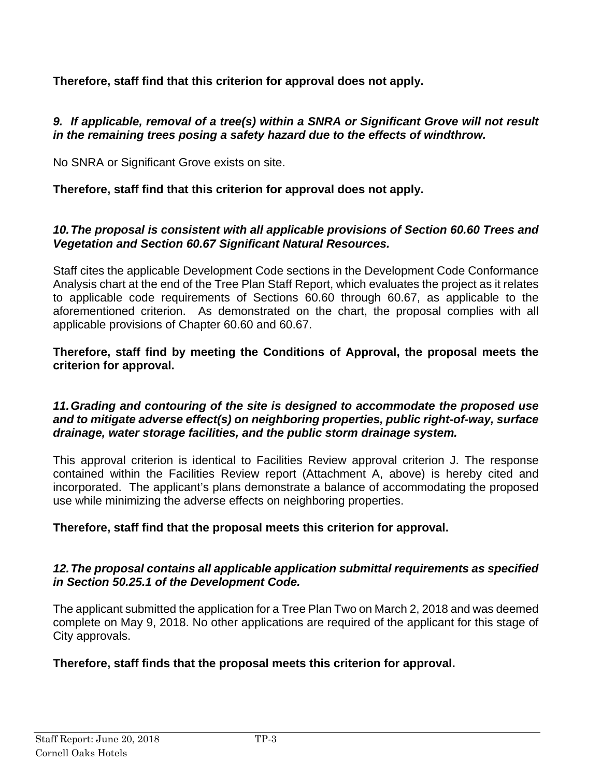**Therefore, staff find that this criterion for approval does not apply.**

### *9. If applicable, removal of a tree(s) within a SNRA or Significant Grove will not result in the remaining trees posing a safety hazard due to the effects of windthrow.*

No SNRA or Significant Grove exists on site.

**Therefore, staff find that this criterion for approval does not apply.**

### 10. The proposal is consistent with all applicable provisions of Section 60.60 Trees and *Vegetation and Section 60.67 Significant Natural Resources.*

Staff cites the applicable Development Code sections in the Development Code Conformance Analysis chart at the end of the Tree Plan Staff Report, which evaluates the project as it relates to applicable code requirements of Sections 60.60 through 60.67, as applicable to the aforementioned criterion. As demonstrated on the chart, the proposal complies with all applicable provisions of Chapter 60.60 and 60.67.

**Therefore, staff find by meeting the Conditions of Approval, the proposal meets the criterion for approval.** 

#### *11. Grading and contouring of the site is designed to accommodate the proposed use and to mitigate adverse effect(s) on neighboring properties, public right-of-way, surface drainage, water storage facilities, and the public storm drainage system.*

This approval criterion is identical to Facilities Review approval criterion J. The response contained within the Facilities Review report (Attachment A, above) is hereby cited and incorporated. The applicant's plans demonstrate a balance of accommodating the proposed use while minimizing the adverse effects on neighboring properties.

### **Therefore, staff find that the proposal meets this criterion for approval.**

### *12. The proposal contains all applicable application submittal requirements as specified in Section 50.25.1 of the Development Code.*

The applicant submitted the application for a Tree Plan Two on March 2, 2018 and was deemed complete on May 9, 2018. No other applications are required of the applicant for this stage of City approvals.

### **Therefore, staff finds that the proposal meets this criterion for approval.**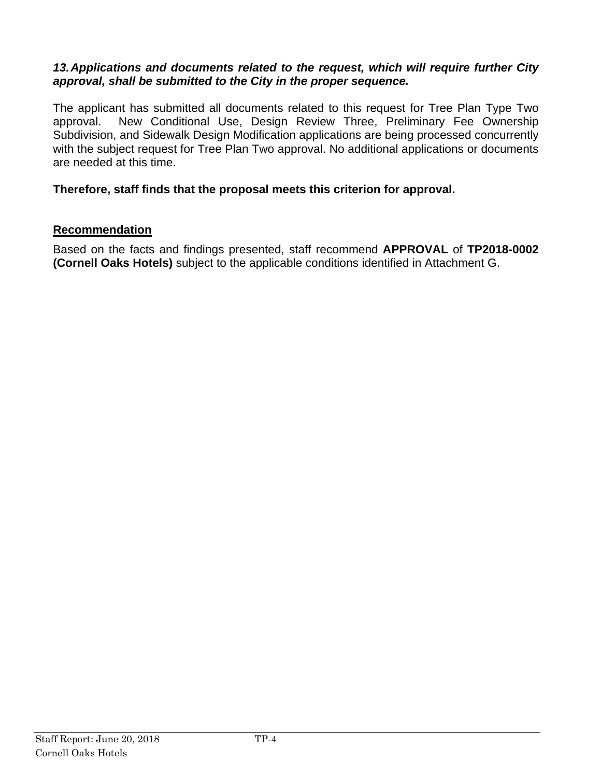### *13. Applications and documents related to the request, which will require further City approval, shall be submitted to the City in the proper sequence.*

The applicant has submitted all documents related to this request for Tree Plan Type Two approval. New Conditional Use, Design Review Three, Preliminary Fee Ownership Subdivision, and Sidewalk Design Modification applications are being processed concurrently with the subject request for Tree Plan Two approval. No additional applications or documents are needed at this time.

### **Therefore, staff finds that the proposal meets this criterion for approval.**

### **Recommendation**

Based on the facts and findings presented, staff recommend **APPROVAL** of **TP2018-0002 (Cornell Oaks Hotels)** subject to the applicable conditions identified in Attachment G.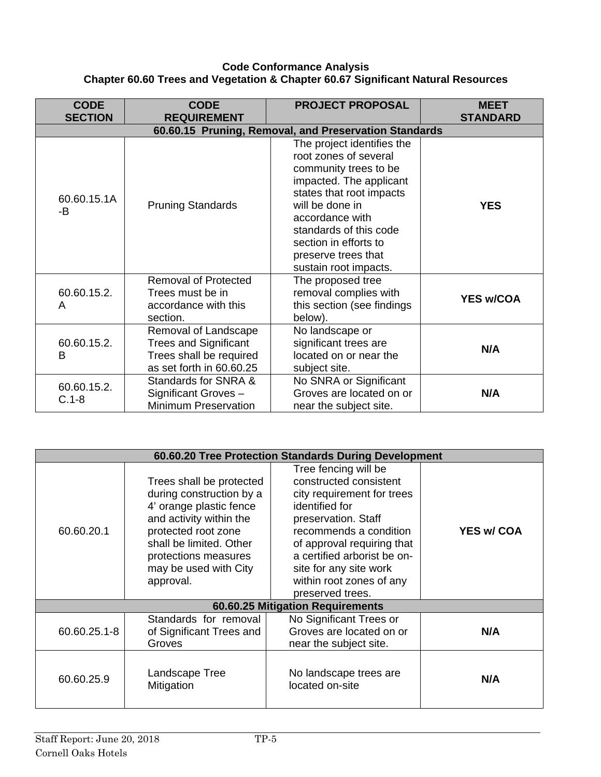#### **Code Conformance Analysis Chapter 60.60 Trees and Vegetation & Chapter 60.67 Significant Natural Resources**

| <b>CODE</b><br><b>SECTION</b> | <b>CODE</b><br><b>REQUIREMENT</b>                                                                           | <b>PROJECT PROPOSAL</b>                                                                                                                                                                                                                                                      | <b>MEET</b><br><b>STANDARD</b> |  |  |
|-------------------------------|-------------------------------------------------------------------------------------------------------------|------------------------------------------------------------------------------------------------------------------------------------------------------------------------------------------------------------------------------------------------------------------------------|--------------------------------|--|--|
|                               | 60.60.15 Pruning, Removal, and Preservation Standards                                                       |                                                                                                                                                                                                                                                                              |                                |  |  |
| 60.60.15.1A<br>-B             | <b>Pruning Standards</b>                                                                                    | The project identifies the<br>root zones of several<br>community trees to be<br>impacted. The applicant<br>states that root impacts<br>will be done in<br>accordance with<br>standards of this code<br>section in efforts to<br>preserve trees that<br>sustain root impacts. | <b>YES</b>                     |  |  |
| 60.60.15.2.<br>A              | <b>Removal of Protected</b><br>Trees must be in<br>accordance with this<br>section.                         | The proposed tree<br>removal complies with<br>this section (see findings<br>below).                                                                                                                                                                                          | <b>YES w/COA</b>               |  |  |
| 60.60.15.2.<br>B              | Removal of Landscape<br><b>Trees and Significant</b><br>Trees shall be required<br>as set forth in 60.60.25 | No landscape or<br>significant trees are<br>located on or near the<br>subject site.                                                                                                                                                                                          | N/A                            |  |  |
| 60.60.15.2.<br>$C.1-8$        | Standards for SNRA &<br>Significant Groves-<br><b>Minimum Preservation</b>                                  | No SNRA or Significant<br>Groves are located on or<br>near the subject site.                                                                                                                                                                                                 | N/A                            |  |  |

| 60.60.20 Tree Protection Standards During Development |                                                                                                                                                                                                                            |                                                                                                                                                                                                                                                                                        |                   |  |
|-------------------------------------------------------|----------------------------------------------------------------------------------------------------------------------------------------------------------------------------------------------------------------------------|----------------------------------------------------------------------------------------------------------------------------------------------------------------------------------------------------------------------------------------------------------------------------------------|-------------------|--|
| 60.60.20.1                                            | Trees shall be protected<br>during construction by a<br>4' orange plastic fence<br>and activity within the<br>protected root zone<br>shall be limited. Other<br>protections measures<br>may be used with City<br>approval. | Tree fencing will be<br>constructed consistent<br>city requirement for trees<br>identified for<br>preservation. Staff<br>recommends a condition<br>of approval requiring that<br>a certified arborist be on-<br>site for any site work<br>within root zones of any<br>preserved trees. | <b>YES w/ COA</b> |  |
|                                                       |                                                                                                                                                                                                                            | 60.60.25 Mitigation Requirements                                                                                                                                                                                                                                                       |                   |  |
| 60.60.25.1-8                                          | Standards for removal<br>of Significant Trees and<br>Groves                                                                                                                                                                | No Significant Trees or<br>Groves are located on or<br>near the subject site.                                                                                                                                                                                                          | N/A               |  |
| 60.60.25.9                                            | Landscape Tree<br>Mitigation                                                                                                                                                                                               | No landscape trees are<br>located on-site                                                                                                                                                                                                                                              | N/A               |  |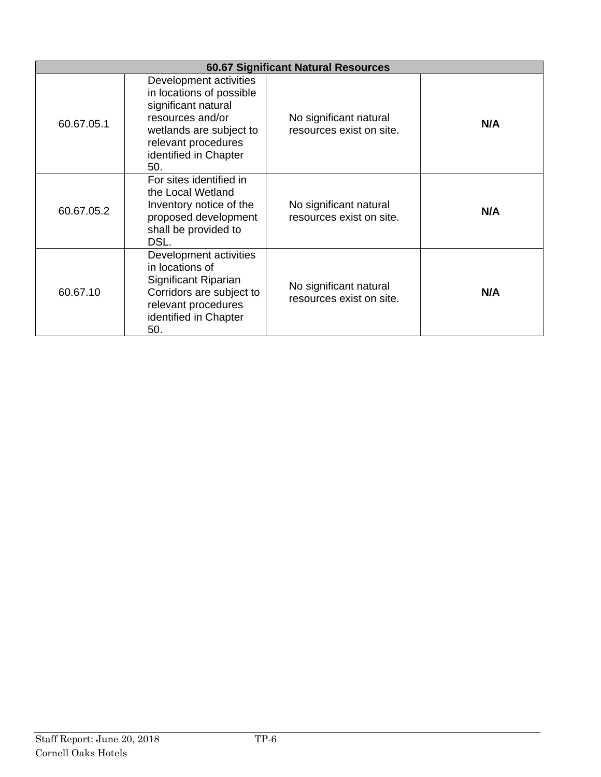| <b>60.67 Significant Natural Resources</b> |                                                                                                                                                                                 |                                                    |     |  |
|--------------------------------------------|---------------------------------------------------------------------------------------------------------------------------------------------------------------------------------|----------------------------------------------------|-----|--|
| 60.67.05.1                                 | Development activities<br>in locations of possible<br>significant natural<br>resources and/or<br>wetlands are subject to<br>relevant procedures<br>identified in Chapter<br>50. | No significant natural<br>resources exist on site. | N/A |  |
| 60.67.05.2                                 | For sites identified in<br>the Local Wetland<br>Inventory notice of the<br>proposed development<br>shall be provided to<br>DSL.                                                 | No significant natural<br>resources exist on site. | N/A |  |
| 60.67.10                                   | Development activities<br>in locations of<br>Significant Riparian<br>Corridors are subject to<br>relevant procedures<br>identified in Chapter<br>50.                            | No significant natural<br>resources exist on site. | N/A |  |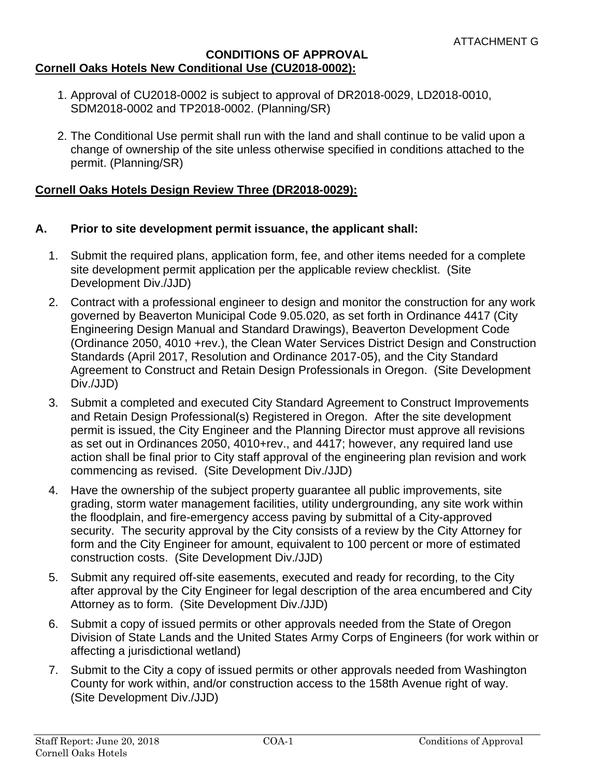#### **CONDITIONS OF APPROVAL Cornell Oaks Hotels New Conditional Use (CU2018-0002):**

- 1. Approval of CU2018-0002 is subject to approval of DR2018-0029, LD2018-0010, SDM2018-0002 and TP2018-0002. (Planning/SR)
- 2. The Conditional Use permit shall run with the land and shall continue to be valid upon a change of ownership of the site unless otherwise specified in conditions attached to the permit. (Planning/SR)

### **Cornell Oaks Hotels Design Review Three (DR2018-0029):**

#### **A. Prior to site development permit issuance, the applicant shall:**

- 1. Submit the required plans, application form, fee, and other items needed for a complete site development permit application per the applicable review checklist. (Site Development Div./JJD)
- 2. Contract with a professional engineer to design and monitor the construction for any work governed by Beaverton Municipal Code 9.05.020, as set forth in Ordinance 4417 (City Engineering Design Manual and Standard Drawings), Beaverton Development Code (Ordinance 2050, 4010 +rev.), the Clean Water Services District Design and Construction Standards (April 2017, Resolution and Ordinance 2017-05), and the City Standard Agreement to Construct and Retain Design Professionals in Oregon. (Site Development Div./JJD)
- 3. Submit a completed and executed City Standard Agreement to Construct Improvements and Retain Design Professional(s) Registered in Oregon. After the site development permit is issued, the City Engineer and the Planning Director must approve all revisions as set out in Ordinances 2050, 4010+rev., and 4417; however, any required land use action shall be final prior to City staff approval of the engineering plan revision and work commencing as revised. (Site Development Div./JJD)
- 4. Have the ownership of the subject property guarantee all public improvements, site grading, storm water management facilities, utility undergrounding, any site work within the floodplain, and fire-emergency access paving by submittal of a City-approved security. The security approval by the City consists of a review by the City Attorney for form and the City Engineer for amount, equivalent to 100 percent or more of estimated construction costs. (Site Development Div./JJD)
- 5. Submit any required off-site easements, executed and ready for recording, to the City after approval by the City Engineer for legal description of the area encumbered and City Attorney as to form. (Site Development Div./JJD)
- 6. Submit a copy of issued permits or other approvals needed from the State of Oregon Division of State Lands and the United States Army Corps of Engineers (for work within or affecting a jurisdictional wetland)
- 7. Submit to the City a copy of issued permits or other approvals needed from Washington County for work within, and/or construction access to the 158th Avenue right of way. (Site Development Div./JJD)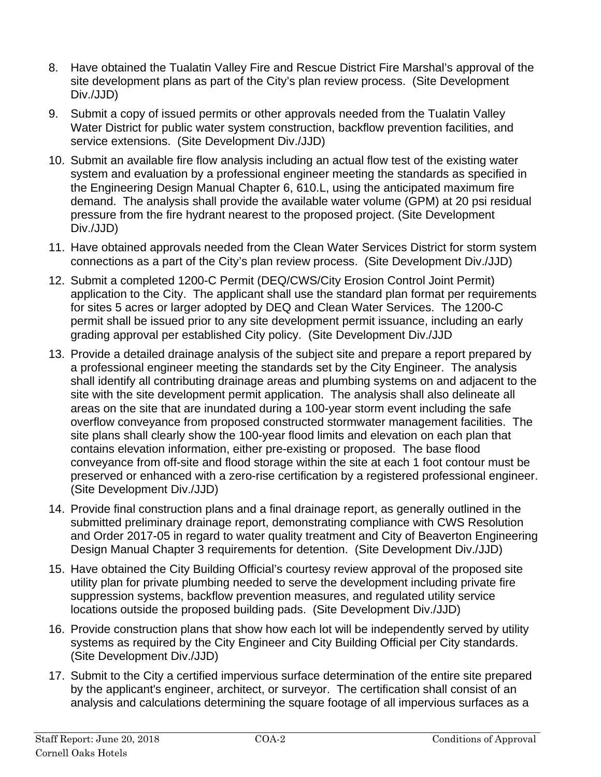- 8. Have obtained the Tualatin Valley Fire and Rescue District Fire Marshal's approval of the site development plans as part of the City's plan review process. (Site Development Div./JJD)
- 9. Submit a copy of issued permits or other approvals needed from the Tualatin Valley Water District for public water system construction, backflow prevention facilities, and service extensions. (Site Development Div./JJD)
- 10. Submit an available fire flow analysis including an actual flow test of the existing water system and evaluation by a professional engineer meeting the standards as specified in the Engineering Design Manual Chapter 6, 610.L, using the anticipated maximum fire demand. The analysis shall provide the available water volume (GPM) at 20 psi residual pressure from the fire hydrant nearest to the proposed project. (Site Development Div./JJD)
- 11. Have obtained approvals needed from the Clean Water Services District for storm system connections as a part of the City's plan review process. (Site Development Div./JJD)
- 12. Submit a completed 1200-C Permit (DEQ/CWS/City Erosion Control Joint Permit) application to the City. The applicant shall use the standard plan format per requirements for sites 5 acres or larger adopted by DEQ and Clean Water Services. The 1200-C permit shall be issued prior to any site development permit issuance, including an early grading approval per established City policy. (Site Development Div./JJD
- 13. Provide a detailed drainage analysis of the subject site and prepare a report prepared by a professional engineer meeting the standards set by the City Engineer. The analysis shall identify all contributing drainage areas and plumbing systems on and adjacent to the site with the site development permit application. The analysis shall also delineate all areas on the site that are inundated during a 100-year storm event including the safe overflow conveyance from proposed constructed stormwater management facilities. The site plans shall clearly show the 100-year flood limits and elevation on each plan that contains elevation information, either pre-existing or proposed. The base flood conveyance from off-site and flood storage within the site at each 1 foot contour must be preserved or enhanced with a zero-rise certification by a registered professional engineer. (Site Development Div./JJD)
- 14. Provide final construction plans and a final drainage report, as generally outlined in the submitted preliminary drainage report, demonstrating compliance with CWS Resolution and Order 2017-05 in regard to water quality treatment and City of Beaverton Engineering Design Manual Chapter 3 requirements for detention. (Site Development Div./JJD)
- 15. Have obtained the City Building Official's courtesy review approval of the proposed site utility plan for private plumbing needed to serve the development including private fire suppression systems, backflow prevention measures, and regulated utility service locations outside the proposed building pads. (Site Development Div./JJD)
- 16. Provide construction plans that show how each lot will be independently served by utility systems as required by the City Engineer and City Building Official per City standards. (Site Development Div./JJD)
- 17. Submit to the City a certified impervious surface determination of the entire site prepared by the applicant's engineer, architect, or surveyor. The certification shall consist of an analysis and calculations determining the square footage of all impervious surfaces as a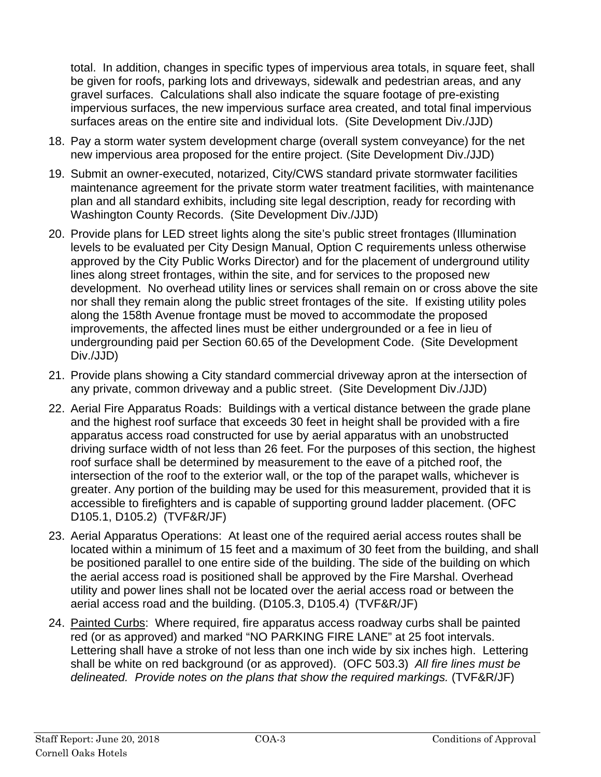total. In addition, changes in specific types of impervious area totals, in square feet, shall be given for roofs, parking lots and driveways, sidewalk and pedestrian areas, and any gravel surfaces. Calculations shall also indicate the square footage of pre-existing impervious surfaces, the new impervious surface area created, and total final impervious surfaces areas on the entire site and individual lots. (Site Development Div./JJD)

- 18. Pay a storm water system development charge (overall system conveyance) for the net new impervious area proposed for the entire project. (Site Development Div./JJD)
- 19. Submit an owner-executed, notarized, City/CWS standard private stormwater facilities maintenance agreement for the private storm water treatment facilities, with maintenance plan and all standard exhibits, including site legal description, ready for recording with Washington County Records. (Site Development Div./JJD)
- 20. Provide plans for LED street lights along the site's public street frontages (Illumination levels to be evaluated per City Design Manual, Option C requirements unless otherwise approved by the City Public Works Director) and for the placement of underground utility lines along street frontages, within the site, and for services to the proposed new development. No overhead utility lines or services shall remain on or cross above the site nor shall they remain along the public street frontages of the site. If existing utility poles along the 158th Avenue frontage must be moved to accommodate the proposed improvements, the affected lines must be either undergrounded or a fee in lieu of undergrounding paid per Section 60.65 of the Development Code. (Site Development Div./JJD)
- 21. Provide plans showing a City standard commercial driveway apron at the intersection of any private, common driveway and a public street. (Site Development Div./JJD)
- 22. Aerial Fire Apparatus Roads: Buildings with a vertical distance between the grade plane and the highest roof surface that exceeds 30 feet in height shall be provided with a fire apparatus access road constructed for use by aerial apparatus with an unobstructed driving surface width of not less than 26 feet. For the purposes of this section, the highest roof surface shall be determined by measurement to the eave of a pitched roof, the intersection of the roof to the exterior wall, or the top of the parapet walls, whichever is greater. Any portion of the building may be used for this measurement, provided that it is accessible to firefighters and is capable of supporting ground ladder placement. (OFC D105.1, D105.2) (TVF&R/JF)
- 23. Aerial Apparatus Operations: At least one of the required aerial access routes shall be located within a minimum of 15 feet and a maximum of 30 feet from the building, and shall be positioned parallel to one entire side of the building. The side of the building on which the aerial access road is positioned shall be approved by the Fire Marshal. Overhead utility and power lines shall not be located over the aerial access road or between the aerial access road and the building. (D105.3, D105.4) (TVF&R/JF)
- 24. Painted Curbs: Where required, fire apparatus access roadway curbs shall be painted red (or as approved) and marked "NO PARKING FIRE LANE" at 25 foot intervals. Lettering shall have a stroke of not less than one inch wide by six inches high. Lettering shall be white on red background (or as approved). (OFC 503.3) *All fire lines must be delineated. Provide notes on the plans that show the required markings.* (TVF&R/JF)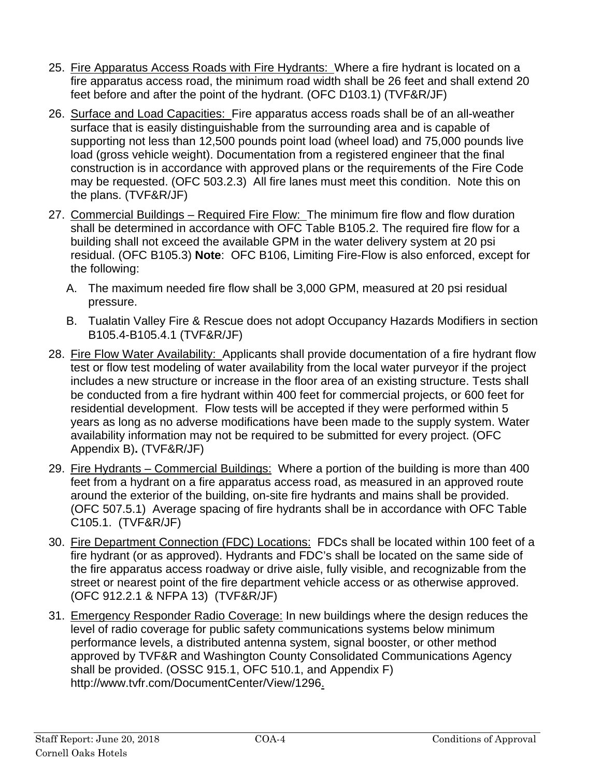- 25. Fire Apparatus Access Roads with Fire Hydrants: Where a fire hydrant is located on a fire apparatus access road, the minimum road width shall be 26 feet and shall extend 20 feet before and after the point of the hydrant. (OFC D103.1) (TVF&R/JF)
- 26. Surface and Load Capacities: Fire apparatus access roads shall be of an all-weather surface that is easily distinguishable from the surrounding area and is capable of supporting not less than 12,500 pounds point load (wheel load) and 75,000 pounds live load (gross vehicle weight). Documentation from a registered engineer that the final construction is in accordance with approved plans or the requirements of the Fire Code may be requested. (OFC 503.2.3) All fire lanes must meet this condition. Note this on the plans. (TVF&R/JF)
- 27. Commercial Buildings Required Fire Flow: The minimum fire flow and flow duration shall be determined in accordance with OFC Table B105.2. The required fire flow for a building shall not exceed the available GPM in the water delivery system at 20 psi residual. (OFC B105.3) **Note**: OFC B106, Limiting Fire-Flow is also enforced, except for the following:
	- A. The maximum needed fire flow shall be 3,000 GPM, measured at 20 psi residual pressure.
	- B. Tualatin Valley Fire & Rescue does not adopt Occupancy Hazards Modifiers in section B105.4-B105.4.1 (TVF&R/JF)
- 28. Fire Flow Water Availability: Applicants shall provide documentation of a fire hydrant flow test or flow test modeling of water availability from the local water purveyor if the project includes a new structure or increase in the floor area of an existing structure. Tests shall be conducted from a fire hydrant within 400 feet for commercial projects, or 600 feet for residential development. Flow tests will be accepted if they were performed within 5 years as long as no adverse modifications have been made to the supply system. Water availability information may not be required to be submitted for every project. (OFC Appendix B)**.** (TVF&R/JF)
- 29. Fire Hydrants Commercial Buildings: Where a portion of the building is more than 400 feet from a hydrant on a fire apparatus access road, as measured in an approved route around the exterior of the building, on-site fire hydrants and mains shall be provided. (OFC 507.5.1) Average spacing of fire hydrants shall be in accordance with OFC Table C105.1.(TVF&R/JF)
- 30. Fire Department Connection (FDC) Locations: FDCs shall be located within 100 feet of a fire hydrant (or as approved). Hydrants and FDC's shall be located on the same side of the fire apparatus access roadway or drive aisle, fully visible, and recognizable from the street or nearest point of the fire department vehicle access or as otherwise approved. (OFC 912.2.1 & NFPA 13) (TVF&R/JF)
- 31. Emergency Responder Radio Coverage: In new buildings where the design reduces the level of radio coverage for public safety communications systems below minimum performance levels, a distributed antenna system, signal booster, or other method approved by TVF&R and Washington County Consolidated Communications Agency shall be provided. (OSSC 915.1, OFC 510.1, and Appendix F) http://www.tvfr.com/DocumentCenter/View/1296.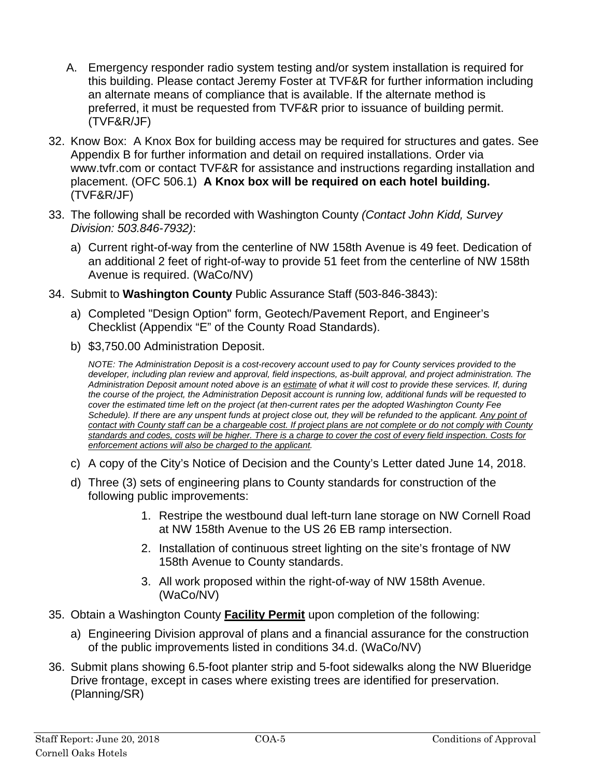- A. Emergency responder radio system testing and/or system installation is required for this building. Please contact Jeremy Foster at TVF&R for further information including an alternate means of compliance that is available. If the alternate method is preferred, it must be requested from TVF&R prior to issuance of building permit. (TVF&R/JF)
- 32. Know Box: A Knox Box for building access may be required for structures and gates. See Appendix B for further information and detail on required installations. Order via www.tvfr.com or contact TVF&R for assistance and instructions regarding installation and placement. (OFC 506.1) **A Knox box will be required on each hotel building.**  (TVF&R/JF)
- 33. The following shall be recorded with Washington County *(Contact John Kidd, Survey Division: 503.846-7932)*:
	- a) Current right-of-way from the centerline of NW 158th Avenue is 49 feet. Dedication of an additional 2 feet of right-of-way to provide 51 feet from the centerline of NW 158th Avenue is required. (WaCo/NV)
- 34. Submit to **Washington County** Public Assurance Staff (503-846-3843):
	- a) Completed "Design Option" form, Geotech/Pavement Report, and Engineer's Checklist (Appendix "E" of the County Road Standards).
	- b) \$3,750.00 Administration Deposit.

*NOTE: The Administration Deposit is a cost-recovery account used to pay for County services provided to the developer, including plan review and approval, field inspections, as-built approval, and project administration. The Administration Deposit amount noted above is an estimate of what it will cost to provide these services. If, during the course of the project, the Administration Deposit account is running low, additional funds will be requested to cover the estimated time left on the project (at then-current rates per the adopted Washington County Fee*  Schedule). If there are any unspent funds at project close out, they will be refunded to the applicant. Any point of *contact with County staff can be a chargeable cost. If project plans are not complete or do not comply with County standards and codes, costs will be higher. There is a charge to cover the cost of every field inspection. Costs for enforcement actions will also be charged to the applicant.* 

- c) A copy of the City's Notice of Decision and the County's Letter dated June 14, 2018.
- d) Three (3) sets of engineering plans to County standards for construction of the following public improvements:
	- 1. Restripe the westbound dual left-turn lane storage on NW Cornell Road at NW 158th Avenue to the US 26 EB ramp intersection.
	- 2. Installation of continuous street lighting on the site's frontage of NW 158th Avenue to County standards.
	- 3. All work proposed within the right-of-way of NW 158th Avenue. (WaCo/NV)
- 35. Obtain a Washington County **Facility Permit** upon completion of the following:
	- a) Engineering Division approval of plans and a financial assurance for the construction of the public improvements listed in conditions 34.d. (WaCo/NV)
- 36. Submit plans showing 6.5-foot planter strip and 5-foot sidewalks along the NW Blueridge Drive frontage, except in cases where existing trees are identified for preservation. (Planning/SR)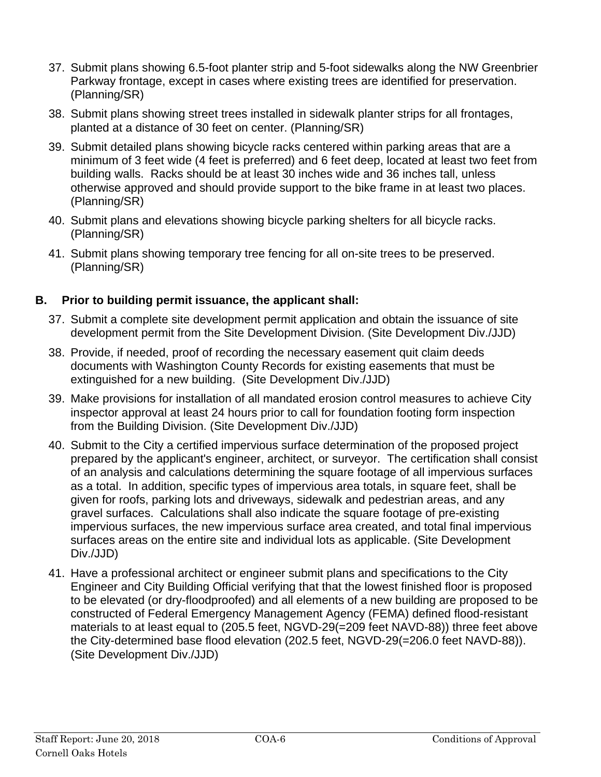- 37. Submit plans showing 6.5-foot planter strip and 5-foot sidewalks along the NW Greenbrier Parkway frontage, except in cases where existing trees are identified for preservation. (Planning/SR)
- 38. Submit plans showing street trees installed in sidewalk planter strips for all frontages, planted at a distance of 30 feet on center. (Planning/SR)
- 39. Submit detailed plans showing bicycle racks centered within parking areas that are a minimum of 3 feet wide (4 feet is preferred) and 6 feet deep, located at least two feet from building walls. Racks should be at least 30 inches wide and 36 inches tall, unless otherwise approved and should provide support to the bike frame in at least two places. (Planning/SR)
- 40. Submit plans and elevations showing bicycle parking shelters for all bicycle racks. (Planning/SR)
- 41. Submit plans showing temporary tree fencing for all on-site trees to be preserved. (Planning/SR)

### **B. Prior to building permit issuance, the applicant shall:**

- 37. Submit a complete site development permit application and obtain the issuance of site development permit from the Site Development Division. (Site Development Div./JJD)
- 38. Provide, if needed, proof of recording the necessary easement quit claim deeds documents with Washington County Records for existing easements that must be extinguished for a new building. (Site Development Div./JJD)
- 39. Make provisions for installation of all mandated erosion control measures to achieve City inspector approval at least 24 hours prior to call for foundation footing form inspection from the Building Division. (Site Development Div./JJD)
- 40. Submit to the City a certified impervious surface determination of the proposed project prepared by the applicant's engineer, architect, or surveyor. The certification shall consist of an analysis and calculations determining the square footage of all impervious surfaces as a total. In addition, specific types of impervious area totals, in square feet, shall be given for roofs, parking lots and driveways, sidewalk and pedestrian areas, and any gravel surfaces. Calculations shall also indicate the square footage of pre-existing impervious surfaces, the new impervious surface area created, and total final impervious surfaces areas on the entire site and individual lots as applicable. (Site Development Div./JJD)
- 41. Have a professional architect or engineer submit plans and specifications to the City Engineer and City Building Official verifying that that the lowest finished floor is proposed to be elevated (or dry-floodproofed) and all elements of a new building are proposed to be constructed of Federal Emergency Management Agency (FEMA) defined flood-resistant materials to at least equal to (205.5 feet, NGVD-29(=209 feet NAVD-88)) three feet above the City-determined base flood elevation (202.5 feet, NGVD-29(=206.0 feet NAVD-88)). (Site Development Div./JJD)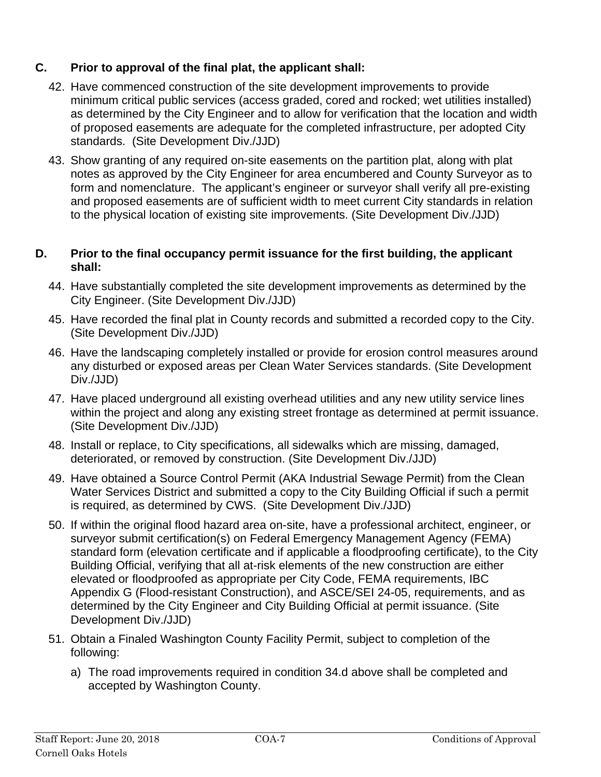### **C. Prior to approval of the final plat, the applicant shall:**

- 42. Have commenced construction of the site development improvements to provide minimum critical public services (access graded, cored and rocked; wet utilities installed) as determined by the City Engineer and to allow for verification that the location and width of proposed easements are adequate for the completed infrastructure, per adopted City standards. (Site Development Div./JJD)
- 43. Show granting of any required on-site easements on the partition plat, along with plat notes as approved by the City Engineer for area encumbered and County Surveyor as to form and nomenclature. The applicant's engineer or surveyor shall verify all pre-existing and proposed easements are of sufficient width to meet current City standards in relation to the physical location of existing site improvements. (Site Development Div./JJD)

#### **D. Prior to the final occupancy permit issuance for the first building, the applicant shall:**

- 44. Have substantially completed the site development improvements as determined by the City Engineer. (Site Development Div./JJD)
- 45. Have recorded the final plat in County records and submitted a recorded copy to the City. (Site Development Div./JJD)
- 46. Have the landscaping completely installed or provide for erosion control measures around any disturbed or exposed areas per Clean Water Services standards. (Site Development Div./JJD)
- 47. Have placed underground all existing overhead utilities and any new utility service lines within the project and along any existing street frontage as determined at permit issuance. (Site Development Div./JJD)
- 48. Install or replace, to City specifications, all sidewalks which are missing, damaged, deteriorated, or removed by construction. (Site Development Div./JJD)
- 49. Have obtained a Source Control Permit (AKA Industrial Sewage Permit) from the Clean Water Services District and submitted a copy to the City Building Official if such a permit is required, as determined by CWS. (Site Development Div./JJD)
- 50. If within the original flood hazard area on-site, have a professional architect, engineer, or surveyor submit certification(s) on Federal Emergency Management Agency (FEMA) standard form (elevation certificate and if applicable a floodproofing certificate), to the City Building Official, verifying that all at-risk elements of the new construction are either elevated or floodproofed as appropriate per City Code, FEMA requirements, IBC Appendix G (Flood-resistant Construction), and ASCE/SEI 24-05, requirements, and as determined by the City Engineer and City Building Official at permit issuance. (Site Development Div./JJD)
- 51. Obtain a Finaled Washington County Facility Permit, subject to completion of the following:
	- a) The road improvements required in condition 34.d above shall be completed and accepted by Washington County.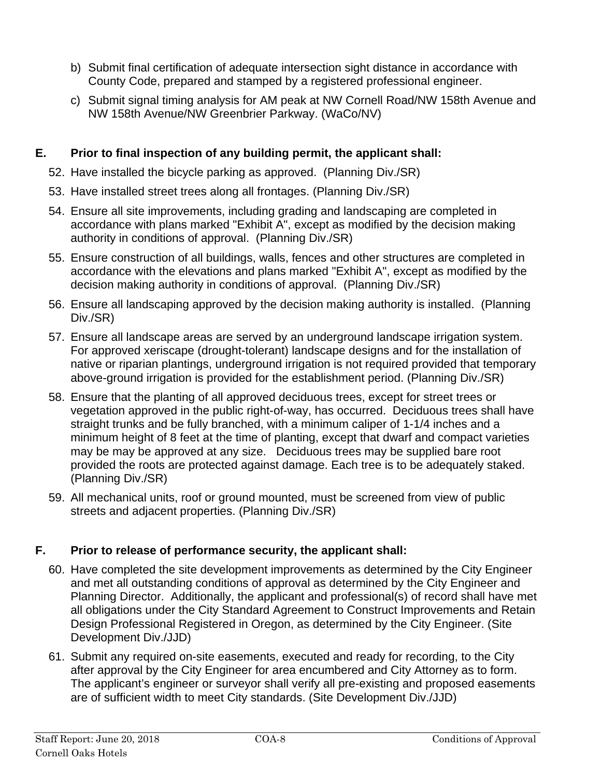- b) Submit final certification of adequate intersection sight distance in accordance with County Code, prepared and stamped by a registered professional engineer.
- c) Submit signal timing analysis for AM peak at NW Cornell Road/NW 158th Avenue and NW 158th Avenue/NW Greenbrier Parkway. (WaCo/NV)

# **E. Prior to final inspection of any building permit, the applicant shall:**

- 52. Have installed the bicycle parking as approved. (Planning Div./SR)
- 53. Have installed street trees along all frontages. (Planning Div./SR)
- 54. Ensure all site improvements, including grading and landscaping are completed in accordance with plans marked "Exhibit A", except as modified by the decision making authority in conditions of approval. (Planning Div./SR)
- 55. Ensure construction of all buildings, walls, fences and other structures are completed in accordance with the elevations and plans marked "Exhibit A", except as modified by the decision making authority in conditions of approval. (Planning Div./SR)
- 56. Ensure all landscaping approved by the decision making authority is installed. (Planning Div./SR)
- 57. Ensure all landscape areas are served by an underground landscape irrigation system. For approved xeriscape (drought-tolerant) landscape designs and for the installation of native or riparian plantings, underground irrigation is not required provided that temporary above-ground irrigation is provided for the establishment period. (Planning Div./SR)
- 58. Ensure that the planting of all approved deciduous trees, except for street trees or vegetation approved in the public right-of-way, has occurred. Deciduous trees shall have straight trunks and be fully branched, with a minimum caliper of 1-1/4 inches and a minimum height of 8 feet at the time of planting, except that dwarf and compact varieties may be may be approved at any size. Deciduous trees may be supplied bare root provided the roots are protected against damage. Each tree is to be adequately staked. (Planning Div./SR)
- 59. All mechanical units, roof or ground mounted, must be screened from view of public streets and adjacent properties. (Planning Div./SR)

# **F. Prior to release of performance security, the applicant shall:**

- 60. Have completed the site development improvements as determined by the City Engineer and met all outstanding conditions of approval as determined by the City Engineer and Planning Director. Additionally, the applicant and professional(s) of record shall have met all obligations under the City Standard Agreement to Construct Improvements and Retain Design Professional Registered in Oregon, as determined by the City Engineer. (Site Development Div./JJD)
- 61. Submit any required on-site easements, executed and ready for recording, to the City after approval by the City Engineer for area encumbered and City Attorney as to form. The applicant's engineer or surveyor shall verify all pre-existing and proposed easements are of sufficient width to meet City standards. (Site Development Div./JJD)